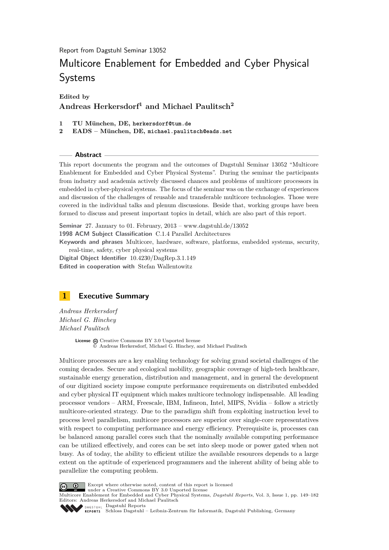Report from Dagstuhl Seminar 13052

# Multicore Enablement for Embedded and Cyber Physical Systems

**Edited by Andreas Herkersdorf<sup>1</sup> and Michael Paulitsch<sup>2</sup>**

- **1 TU München, DE, herkersdorf@tum.de**
- **2 EADS München, DE, michael.paulitsch@eads.net**

**Abstract**

This report documents the program and the outcomes of Dagstuhl Seminar 13052 "Multicore Enablement for Embedded and Cyber Physical Systems". During the seminar the participants from industry and academia actively discussed chances and problems of multicore processors in embedded in cyber-physical systems. The focus of the seminar was on the exchange of experiences and discussion of the challenges of reusable and transferable multicore technologies. Those were covered in the individual talks and plenum discussions. Beside that, working groups have been formed to discuss and present important topics in detail, which are also part of this report.

**Seminar** 27. January to 01. February, 2013 – [www.dagstuhl.de/13052](http://www.dagstuhl.de/13052) **1998 ACM Subject Classification** C.1.4 Parallel Architectures **Keywords and phrases** Multicore, hardware, software, platforms, embedded systems, security, real-time, safety, cyber physical systems

**Digital Object Identifier** [10.4230/DagRep.3.1.149](http://dx.doi.org/10.4230/DagRep.3.1.149) **Edited in cooperation with** Stefan Wallentowitz

<span id="page-0-0"></span>

*Andreas Herkersdorf Michael G. Hinchey Michael Paulitsch*

> License  $\textcircled{c}$  [Creative Commons BY 3.0 Unported](http://creativecommons.org/licenses/by/3.0/) license © [Andreas Herkersdorf, Michael G. Hinchey, and Michael Paulitsch](#page-0-0)

Multicore processors are a key enabling technology for solving grand societal challenges of the coming decades. Secure and ecological mobility, geographic coverage of high-tech healthcare, sustainable energy generation, distribution and management, and in general the development of our digitized society impose compute performance requirements on distributed embedded and cyber physical IT equipment which makes multicore technology indispensable. All leading processor vendors – ARM, Freescale, IBM, Infineon, Intel, MIPS, Nvidia – follow a strictly multicore-oriented strategy. Due to the paradigm shift from exploiting instruction level to process level parallelism, multicore processors are superior over single-core representatives with respect to computing performance and energy efficiency. Prerequisite is, processes can be balanced among parallel cores such that the nominally available computing performance can be utilized effectively, and cores can be set into sleep mode or power gated when not busy. As of today, the ability to efficient utilize the available resources depends to a large extent on the aptitude of experienced programmers and the inherent ability of being able to parallelize the computing problem.



Except where otherwise noted, content of this report is licensed under a [Creative Commons BY 3.0 Unported](http://creativecommons.org/licenses/by/3.0/) license

Multicore Enablement for Embedded and Cyber Physical Systems, *Dagstuhl Reports*, Vol. 3, Issue 1, pp. 149[–182](#page-33-0) Editors: Andreas Herkersdorf and Michael Paulitsch

DAGSTUHL [Dagstuhl Reports](http://www.dagstuhl.de/dagstuhl-reports/)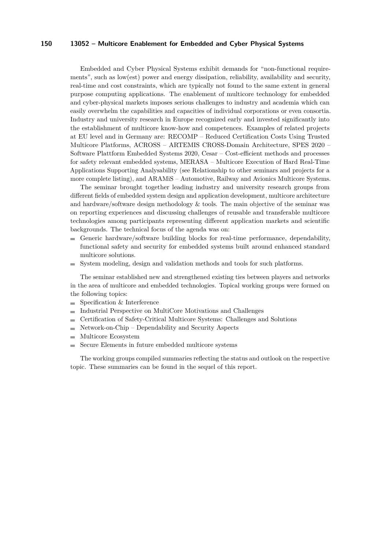Embedded and Cyber Physical Systems exhibit demands for "non-functional requirements", such as low(est) power and energy dissipation, reliability, availability and security, real-time and cost constraints, which are typically not found to the same extent in general purpose computing applications. The enablement of multicore technology for embedded and cyber-physical markets imposes serious challenges to industry and academia which can easily overwhelm the capabilities and capacities of individual corporations or even consortia. Industry and university research in Europe recognized early and invested significantly into the establishment of multicore know-how and competences. Examples of related projects at EU level and in Germany are: RECOMP – Reduced Certification Costs Using Trusted Multicore Platforms, ACROSS – ARTEMIS CROSS-Domain Architecture, SPES 2020 – Software Plattform Embedded Systems 2020, Cesar – Cost-efficient methods and processes for safety relevant embedded systems, MERASA – Multicore Execution of Hard Real-Time Applications Supporting Analysability (see Relationship to other seminars and projects for a more complete listing), and ARAMiS – Automotive, Railway and Avionics Multicore Systems.

The seminar brought together leading industry and university research groups from different fields of embedded system design and application development, multicore architecture and hardware/software design methodology  $&$  tools. The main objective of the seminar was on reporting experiences and discussing challenges of reusable and transferable multicore technologies among participants representing different application markets and scientific backgrounds. The technical focus of the agenda was on:

- Generic hardware/software building blocks for real-time performance, dependability, functional safety and security for embedded systems built around enhanced standard multicore solutions.
- System modeling, design and validation methods and tools for such platforms. m.

The seminar established new and strengthened existing ties between players and networks in the area of multicore and embedded technologies. Topical working groups were formed on the following topics:

- Specification & Interference  $\blacksquare$
- Industrial Perspective on MultiCore Motivations and Challenges
- Certification of Safety-Critical Multicore Systems: Challenges and Solutions  $\blacksquare$
- Network-on-Chip Dependability and Security Aspects  $\rightarrow$
- Multicore Ecosystem
- Secure Elements in future embedded multicore systems  $\equiv$

The working groups compiled summaries reflecting the status and outlook on the respective topic. These summaries can be found in the sequel of this report.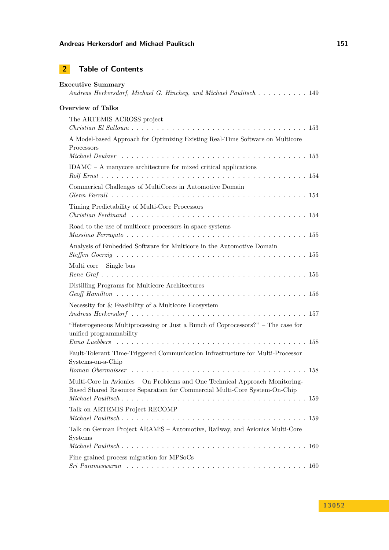# **2 Table of Contents**

| <b>Executive Summary</b>   | Andreas Herkersdorf, Michael G. Hinchey, and Michael Paulitsch 149                                                                                       |
|----------------------------|----------------------------------------------------------------------------------------------------------------------------------------------------------|
| <b>Overview of Talks</b>   |                                                                                                                                                          |
| The ARTEMIS ACROSS project |                                                                                                                                                          |
| Processors                 | A Model-based Approach for Optimizing Existing Real-Time Software on Multicore                                                                           |
|                            | $IDAMC - A$ manycore architecture for mixed critical applications                                                                                        |
|                            | Commerical Challenges of MultiCores in Automotive Domain                                                                                                 |
|                            | Timing Predictability of Multi-Core Processors                                                                                                           |
|                            | Road to the use of multicore processors in space systems                                                                                                 |
|                            | Analysis of Embedded Software for Multicore in the Automotive Domain                                                                                     |
| Multi core $-$ Single bus  |                                                                                                                                                          |
|                            | Distilling Programs for Multicore Architectures                                                                                                          |
|                            | Necessity for $\&$ Feasibility of a Multicore Ecosystem                                                                                                  |
| unified programmability    | "Heterogeneous Multiprocessing or Just a Bunch of Coprocessors?" – The case for                                                                          |
| Systems-on-a-Chip          | Fault-Tolerant Time-Triggered Communication Infrastructure for Multi-Processor                                                                           |
|                            |                                                                                                                                                          |
|                            | Multi-Core in Avionics - On Problems and One Technical Approach Monitoring-<br>Based Shared Resource Separation for Commercial Multi-Core System-On-Chip |
|                            | Talk on ARTEMIS Project RECOMP                                                                                                                           |
| Systems                    | Talk on German Project ARAMiS - Automotive, Railway, and Avionics Multi-Core                                                                             |
|                            |                                                                                                                                                          |
|                            | Fine grained process migration for MPSoCs                                                                                                                |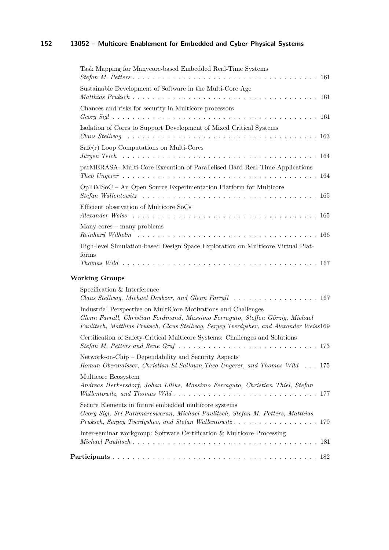| Task Mapping for Manycore-based Embedded Real-Time Systems                                                                                                                                                                                 |
|--------------------------------------------------------------------------------------------------------------------------------------------------------------------------------------------------------------------------------------------|
| Sustainable Development of Software in the Multi-Core Age                                                                                                                                                                                  |
| Chances and risks for security in Multicore processors                                                                                                                                                                                     |
| Isolation of Cores to Support Development of Mixed Critical Systems                                                                                                                                                                        |
| $Safe(r)$ Loop Computations on Multi-Cores<br>Jürgen Teich einer einer einer einer einer einer einer einer Erstellungen Teich einer einer einer Erste Erstellung und Teilen                                                                |
| parMERASA- Multi-Core Execution of Parallelised Hard Real-Time Applications                                                                                                                                                                |
| OpTiMSoC - An Open Source Experimentation Platform for Multicore                                                                                                                                                                           |
| Efficient observation of Multicore SoCs<br>Alexander Weiss $\ldots \ldots \ldots \ldots \ldots \ldots \ldots \ldots \ldots \ldots \ldots \ldots \ldots$                                                                                    |
| Many $cores -$ many problems                                                                                                                                                                                                               |
| High-level Simulation-based Design Space Exploration on Multicore Virtual Plat-<br>forms                                                                                                                                                   |
| <b>Working Groups</b>                                                                                                                                                                                                                      |
| Specification & Interference<br>Claus Stellwag, Michael Deubzer, and Glenn Farrall 167                                                                                                                                                     |
| Industrial Perspective on MultiCore Motivations and Challenges<br>Glenn Farrall, Christian Ferdinand, Massimo Ferraguto, Steffen Görzig, Michael<br>Paulitsch, Matthias Pruksch, Claus Stellwag, Sergey Tverdyshev, and Alexander Weiss169 |
| Certification of Safety-Critical Multicore Systems: Challenges and Solutions                                                                                                                                                               |
| Network-on-Chip – Dependability and Security Aspects<br>Roman Obermaisser, Christian El Salloum, Theo Ungerer, and Thomas Wild 175                                                                                                         |
| Multicore Ecosystem<br>Andreas Herkersdorf, Johan Lilius, Massimo Ferraguto, Christian Thiel, Stefan                                                                                                                                       |
| Secure Elements in future embedded multicore systems<br>Georg Sigl, Sri Paramareswaran, Michael Paulitsch, Stefan M. Petters, Matthias                                                                                                     |
| Inter-seminar workgroup: Software Certification & Multicore Processing                                                                                                                                                                     |

**[Participants](#page-33-1)** . . . . . . . . . . . . . . . . . . . . . . . . . . . . . . . . . . . . . . . . . 182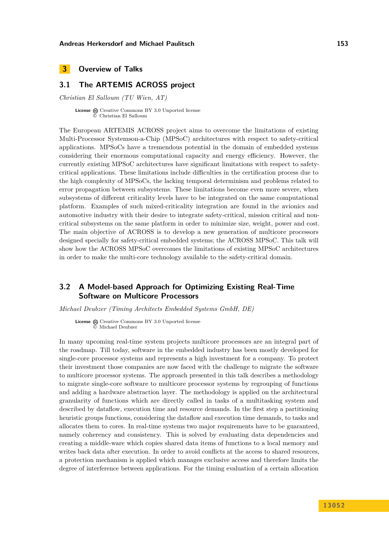### <span id="page-4-0"></span>**3 Overview of Talks**

### <span id="page-4-1"></span>**3.1 The ARTEMIS ACROSS project**

*Christian El Salloum (TU Wien, AT)*

License  $\textcircled{c}$  [Creative Commons BY 3.0 Unported](http://creativecommons.org/licenses/by/3.0/) license © [Christian El Salloum](#page-4-1)

The European ARTEMIS ACROSS project aims to overcome the limitations of existing Multi-Processor Systemson-a-Chip (MPSoC) architectures with respect to safety-critical applications. MPSoCs have a tremendous potential in the domain of embedded systems considering their enormous computational capacity and energy efficiency. However, the currently existing MPSoC architectures have significant limitations with respect to safetycritical applications. These limitations include difficulties in the certification process due to the high complexity of MPSoCs, the lacking temporal determinism and problems related to error propagation between subsystems. These limitations become even more severe, when subsystems of different criticality levels have to be integrated on the same computational platform. Examples of such mixed-criticality integration are found in the avionics and automotive industry with their desire to integrate safety-critical, mission critical and noncritical subsystems on the same platform in order to minimize size, weight, power and cost. The main objective of ACROSS is to develop a new generation of multicore processors designed specially for safety-critical embedded systems; the ACROSS MPSoC. This talk will show how the ACROSS MPSoC overcomes the limitations of existing MPSoC architectures in order to make the multi-core technology available to the safety-critical domain.

### <span id="page-4-2"></span>**3.2 A Model-based Approach for Optimizing Existing Real-Time Software on Multicore Processors**

*Michael Deubzer (Timing Architects Embedded Systems GmbH, DE)*

License  $\bigcirc$  [Creative Commons BY 3.0 Unported](http://creativecommons.org/licenses/by/3.0/) license © [Michael Deubzer](#page-4-2)

In many upcoming real-time system projects multicore processors are an integral part of the roadmap. Till today, software in the embedded industry has been mostly developed for single-core processor systems and represents a high investment for a company. To protect their investment those companies are now faced with the challenge to migrate the software to multicore processor systems. The approach presented in this talk describes a methodology to migrate single-core software to multicore processor systems by regrouping of functions and adding a hardware abstraction layer. The methodology is applied on the architectural granularity of functions which are directly called in tasks of a multitasking system and described by dataflow, execution time and resource demands. In the first step a partitioning heuristic groups functions, considering the dataflow and execution time demands, to tasks and allocates them to cores. In real-time systems two major requirements have to be guaranteed, namely coherency and consistency. This is solved by evaluating data dependencies and creating a middle-ware which copies shared data items of functions to a local memory and writes back data after execution. In order to avoid conflicts at the access to shared resources, a protection mechanism is applied which manages exclusive access and therefore limits the degree of interference between applications. For the timing evaluation of a certain allocation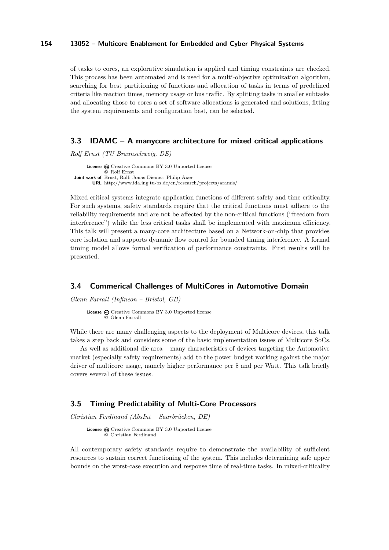of tasks to cores, an explorative simulation is applied and timing constraints are checked. This process has been automated and is used for a multi-objective optimization algorithm, searching for best partitioning of functions and allocation of tasks in terms of predefined criteria like reaction times, memory usage or bus traffic. By splitting tasks in smaller subtasks and allocating those to cores a set of software allocations is generated and solutions, fitting the system requirements and configuration best, can be selected.

#### <span id="page-5-0"></span>**3.3 IDAMC – A manycore architecture for mixed critical applications**

*Rolf Ernst (TU Braunschweig, DE)*

License  $\odot$  [Creative Commons BY 3.0 Unported](http://creativecommons.org/licenses/by/3.0/) license © [Rolf Ernst](#page-5-0) **Joint work of** Ernst, Rolf; Jonas Diemer; Philip Axer **URL** <http://www.ida.ing.tu-bs.de/en/research/projects/aramis/>

Mixed critical systems integrate application functions of different safety and time criticality. For such systems, safety standards require that the critical functions must adhere to the reliability requirements and are not be affected by the non-critical functions ("freedom from interference") while the less critical tasks shall be implemented with maximum efficiency. This talk will present a many-core architecture based on a Network-on-chip that provides core isolation and supports dynamic flow control for bounded timing interference. A formal timing model allows formal verification of performance constraints. First results will be presented.

### <span id="page-5-1"></span>**3.4 Commerical Challenges of MultiCores in Automotive Domain**

*Glenn Farrall (Infineon – Bristol, GB)*

**License** @ [Creative Commons BY 3.0 Unported](http://creativecommons.org/licenses/by/3.0/) license © [Glenn Farrall](#page-5-1)

While there are many challenging aspects to the deployment of Multicore devices, this talk takes a step back and considers some of the basic implementation issues of Multicore SoCs.

As well as additional die area – many characteristics of devices targeting the Automotive market (especially safety requirements) add to the power budget working against the major driver of multicore usage, namely higher performance per \$ and per Watt. This talk briefly covers several of these issues.

### <span id="page-5-2"></span>**3.5 Timing Predictability of Multi-Core Processors**

*Christian Ferdinand (AbsInt – Saarbrücken, DE)*

**License**  $\odot$  [Creative Commons BY 3.0 Unported](http://creativecommons.org/licenses/by/3.0/) license © [Christian Ferdinand](#page-5-2)

All contemporary safety standards require to demonstrate the availability of sufficient resources to sustain correct functioning of the system. This includes determining safe upper bounds on the worst-case execution and response time of real-time tasks. In mixed-criticality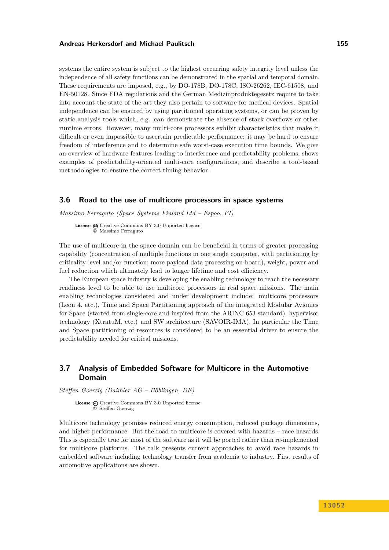systems the entire system is subject to the highest occurring safety integrity level unless the independence of all safety functions can be demonstrated in the spatial and temporal domain. These requirements are imposed, e.g., by DO-178B, DO-178C, ISO-26262, IEC-61508, and EN-50128. Since FDA regulations and the German Medizinproduktegesetz require to take into account the state of the art they also pertain to software for medical devices. Spatial independence can be ensured by using partitioned operating systems, or can be proven by static analysis tools which, e.g. can demonstrate the absence of stack overflows or other runtime errors. However, many multi-core processors exhibit characteristics that make it difficult or even impossible to ascertain predictable performance: it may be hard to ensure freedom of interference and to determine safe worst-case execution time bounds. We give an overview of hardware features leading to interference and predictability problems, shows examples of predictability-oriented multi-core configurations, and describe a tool-based methodologies to ensure the correct timing behavior.

### <span id="page-6-0"></span>**3.6 Road to the use of multicore processors in space systems**

*Massimo Ferraguto (Space Systems Finland Ltd – Espoo, FI)*

License  $\textcircled{c}$  [Creative Commons BY 3.0 Unported](http://creativecommons.org/licenses/by/3.0/) license © [Massimo Ferraguto](#page-6-0)

The use of multicore in the space domain can be beneficial in terms of greater processing capability (concentration of multiple functions in one single computer, with partitioning by criticality level and/or function; more payload data processing on-board), weight, power and fuel reduction which ultimately lead to longer lifetime and cost efficiency.

The European space industry is developing the enabling technology to reach the necessary readiness level to be able to use multicore processors in real space missions. The main enabling technologies considered and under development include: multicore processors (Leon 4, etc.), Time and Space Partitioning approach of the integrated Modular Avionics for Space (started from single-core and inspired from the ARINC 653 standard), hypervisor technology (XtratuM, etc.) and SW architecture (SAVOIR-IMA). In particular the Time and Space partitioning of resources is considered to be an essential driver to ensure the predictability needed for critical missions.

### <span id="page-6-1"></span>**3.7 Analysis of Embedded Software for Multicore in the Automotive Domain**

*Steffen Goerzig (Daimler AG – Böblingen, DE)*

License  $\textcircled{c}$  [Creative Commons BY 3.0 Unported](http://creativecommons.org/licenses/by/3.0/) license © [Steffen Goerzig](#page-6-1)

Multicore technology promises reduced energy consumption, reduced package dimensions, and higher performance. But the road to multicore is covered with hazards – race hazards. This is especially true for most of the software as it will be ported rather than re-implemented for multicore platforms. The talk presents current approaches to avoid race hazards in embedded software including technology transfer from academia to industry. First results of automotive applications are shown.

**1 3 0 5 2**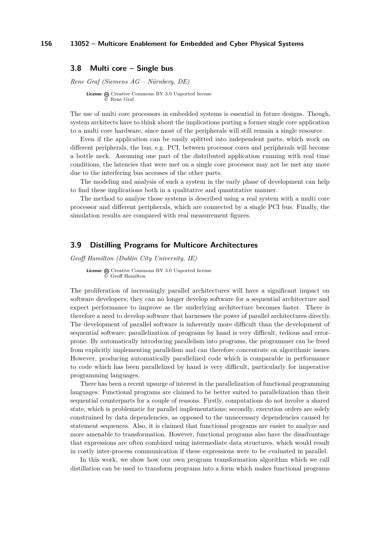### <span id="page-7-0"></span>**3.8 Multi core – Single bus**

*Rene Graf (Siemens AG – Nürnberg, DE)*

**License**  $\textcircled{e}$  [Creative Commons BY 3.0 Unported](http://creativecommons.org/licenses/by/3.0/) license © [Rene Graf](#page-7-0)

The use of multi core processors in embedded systems is essential in future designs. Though, system architects have to think about the implications porting a former single core application to a multi core hardware, since most of the peripherals will still remain a single resource.

Even if the application can be easily splitted into independent parts, which work on different peripherals, the bus, e.g. PCI, between processor cores and peripherals will become a bottle neck. Assuming one part of the distributed application running with real time conditions, the latencies that were met on a single core processor may not be met any more due to the interfering bus accesses of the other parts.

The modeling and analysis of such a system in the early phase of development can help to find these implications both in a qualitative and quantitative manner.

The method to analyse those systems is described using a real system with a multi core processor and different peripherals, which are connected by a single PCI bus. Finally, the simulation results are compared with real measurement figures.

### <span id="page-7-1"></span>**3.9 Distilling Programs for Multicore Architectures**

*Geoff Hamilton (Dublin City University, IE)*

License  $\bigcirc$  [Creative Commons BY 3.0 Unported](http://creativecommons.org/licenses/by/3.0/) license © [Geoff Hamilton](#page-7-1)

The proliferation of increasingly parallel architectures will have a significant impact on software developers; they can no longer develop software for a sequential architecture and expect performance to improve as the underlying architecture becomes faster. There is therefore a need to develop software that harnesses the power of parallel architectures directly. The development of parallel software is inherently more difficult than the development of sequential software; parallelization of programs by hand is very difficult, tedious and errorprone. By automatically introducing parallelism into programs, the programmer can be freed from explicitly implementing parallelism and can therefore concentrate on algorithmic issues. However, producing automatically parallelized code which is comparable in performance to code which has been parallelized by hand is very difficult, particularly for imperative programming languages.

There has been a recent upsurge of interest in the parallelization of functional programming languages. Functional programs are claimed to be better suited to parallelization than their sequential counterparts for a couple of reasons. Firstly, computations do not involve a shared state, which is problematic for parallel implementations; secondly, execution orders are solely constrained by data dependencies, as opposed to the unnecessary dependencies caused by statement sequences. Also, it is claimed that functional programs are easier to analyze and more amenable to transformation. However, functional programs also have the disadvantage that expressions are often combined using intermediate data structures, which would result in costly inter-process communication if these expressions were to be evaluated in parallel.

In this work, we show how our own program transformation algorithm which we call distillation can be used to transform programs into a form which makes functional programs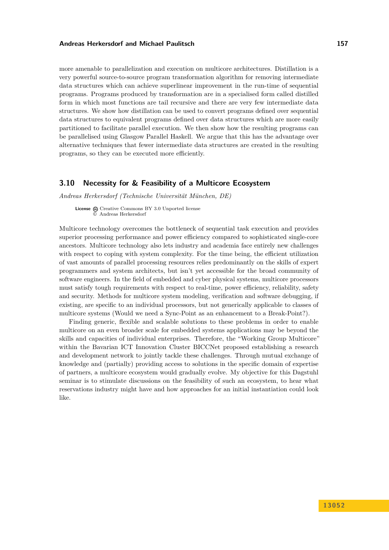more amenable to parallelization and execution on multicore architectures. Distillation is a very powerful source-to-source program transformation algorithm for removing intermediate data structures which can achieve superlinear improvement in the run-time of sequential programs. Programs produced by transformation are in a specialised form called distilled form in which most functions are tail recursive and there are very few intermediate data structures. We show how distillation can be used to convert programs defined over sequential data structures to equivalent programs defined over data structures which are more easily partitioned to facilitate parallel execution. We then show how the resulting programs can be parallelised using Glasgow Parallel Haskell. We argue that this has the advantage over alternative techniques that fewer intermediate data structures are created in the resulting programs, so they can be executed more efficiently.

### <span id="page-8-0"></span>**3.10 Necessity for & Feasibility of a Multicore Ecosystem**

*Andreas Herkersdorf (Technische Universität München, DE)*

**License**  $\textcircled{c}$  [Creative Commons BY 3.0 Unported](http://creativecommons.org/licenses/by/3.0/) license © [Andreas Herkersdorf](#page-8-0)

Multicore technology overcomes the bottleneck of sequential task execution and provides superior processing performance and power efficiency compared to sophisticated single-core ancestors. Multicore technology also lets industry and academia face entirely new challenges with respect to coping with system complexity. For the time being, the efficient utilization of vast amounts of parallel processing resources relies predominantly on the skills of expert programmers and system architects, but isn't yet accessible for the broad community of software engineers. In the field of embedded and cyber physical systems, multicore processors must satisfy tough requirements with respect to real-time, power efficiency, reliability, safety and security. Methods for multicore system modeling, verification and software debugging, if existing, are specific to an individual processors, but not generically applicable to classes of multicore systems (Would we need a Sync-Point as an enhancement to a Break-Point?).

Finding generic, flexible and scalable solutions to these problems in order to enable multicore on an even broader scale for embedded systems applications may be beyond the skills and capacities of individual enterprises. Therefore, the "Working Group Multicore" within the Bavarian ICT Innovation Cluster BICCNet proposed establishing a research and development network to jointly tackle these challenges. Through mutual exchange of knowledge and (partially) providing access to solutions in the specific domain of expertise of partners, a multicore ecosystem would gradually evolve. My objective for this Dagstuhl seminar is to stimulate discussions on the feasibility of such an ecosystem, to hear what reservations industry might have and how approaches for an initial instantiation could look like.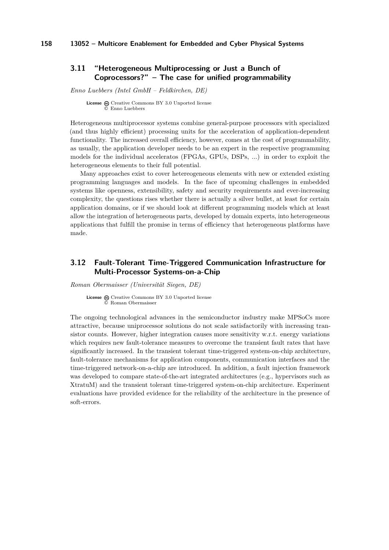### <span id="page-9-0"></span>**3.11 "Heterogeneous Multiprocessing or Just a Bunch of Coprocessors?" – The case for unified programmability**

*Enno Luebbers (Intel GmbH – Feldkirchen, DE)*

**License**  $\textcircled{e}$  [Creative Commons BY 3.0 Unported](http://creativecommons.org/licenses/by/3.0/) license © [Enno Luebbers](#page-9-0)

Heterogeneous multiprocessor systems combine general-purpose processors with specialized (and thus highly efficient) processing units for the acceleration of application-dependent functionality. The increased overall efficiency, however, comes at the cost of programmability, as usually, the application developer needs to be an expert in the respective programming models for the individual acceleratos (FPGAs, GPUs, DSPs, ...) in order to exploit the heterogeneous elements to their full potential.

Many approaches exist to cover hetereogeneous elements with new or extended existing programming languages and models. In the face of upcoming challenges in embedded systems like openness, extensibility, safety and security requirements and ever-increasing complexity, the questions rises whether there is actually a silver bullet, at least for certain application domains, or if we should look at different programming models which at least allow the integration of heterogeneous parts, developed by domain experts, into heterogeneous applications that fulfill the promise in terms of efficiency that heterogeneous platforms have made.

### <span id="page-9-1"></span>**3.12 Fault-Tolerant Time-Triggered Communication Infrastructure for Multi-Processor Systems-on-a-Chip**

*Roman Obermaisser (Universität Siegen, DE)*

License  $\textcircled{a}$  [Creative Commons BY 3.0 Unported](http://creativecommons.org/licenses/by/3.0/) license © [Roman Obermaisser](#page-9-1)

The ongoing technological advances in the semiconductor industry make MPSoCs more attractive, because uniprocessor solutions do not scale satisfactorily with increasing transistor counts. However, higher integration causes more sensitivity w.r.t. energy variations which requires new fault-tolerance measures to overcome the transient fault rates that have significantly increased. In the transient tolerant time-triggered system-on-chip architecture, fault-tolerance mechanisms for application components, communication interfaces and the time-triggered network-on-a-chip are introduced. In addition, a fault injection framework was developed to compare state-of-the-art integrated architectures (e.g., hypervisors such as XtratuM) and the transient tolerant time-triggered system-on-chip architecture. Experiment evaluations have provided evidence for the reliability of the architecture in the presence of soft-errors.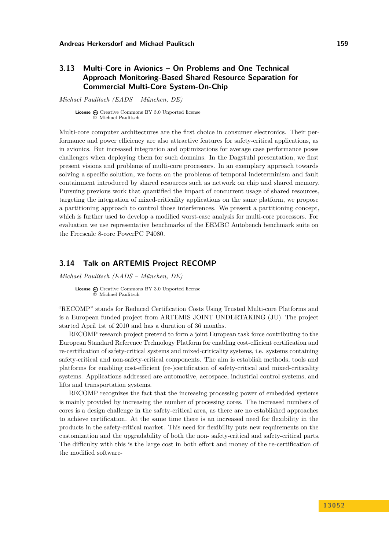### <span id="page-10-0"></span>**3.13 Multi-Core in Avionics – On Problems and One Technical Approach Monitoring-Based Shared Resource Separation for Commercial Multi-Core System-On-Chip**

*Michael Paulitsch (EADS – München, DE)*

**License**  $\omega$  [Creative Commons BY 3.0 Unported](http://creativecommons.org/licenses/by/3.0/) license © [Michael Paulitsch](#page-10-0)

Multi-core computer architectures are the first choice in consumer electronics. Their performance and power efficiency are also attractive features for safety-critical applications, as in avionics. But increased integration and optimizations for average case performance poses challenges when deploying them for such domains. In the Dagstuhl presentation, we first present visions and problems of multi-core processors. In an exemplary approach towards solving a specific solution, we focus on the problems of temporal indeterminism and fault containment introduced by shared resources such as network on chip and shared memory. Pursuing previous work that quantified the impact of concurrent usage of shared resources, targeting the integration of mixed-criticality applications on the same platform, we propose a partitioning approach to control those interferences. We present a partitioning concept, which is further used to develop a modified worst-case analysis for multi-core processors. For evaluation we use representative benchmarks of the EEMBC Autobench benchmark suite on the Freescale 8-core PowerPC P4080.

### <span id="page-10-1"></span>**3.14 Talk on ARTEMIS Project RECOMP**

*Michael Paulitsch (EADS – München, DE)*

**License**  $\textcircled{e}$  [Creative Commons BY 3.0 Unported](http://creativecommons.org/licenses/by/3.0/) license © [Michael Paulitsch](#page-10-1)

"RECOMP" stands for Reduced Certification Costs Using Trusted Multi-core Platforms and is a European funded project from ARTEMIS JOINT UNDERTAKING (JU). The project started April 1st of 2010 and has a duration of 36 months.

RECOMP research project pretend to form a joint European task force contributing to the European Standard Reference Technology Platform for enabling cost-efficient certification and re-certification of safety-critical systems and mixed-criticality systems, i.e. systems containing safety-critical and non-safety-critical components. The aim is establish methods, tools and platforms for enabling cost-efficient (re-)certification of safety-critical and mixed-criticality systems. Applications addressed are automotive, aerospace, industrial control systems, and lifts and transportation systems.

RECOMP recognizes the fact that the increasing processing power of embedded systems is mainly provided by increasing the number of processing cores. The increased numbers of cores is a design challenge in the safety-critical area, as there are no established approaches to achieve certification. At the same time there is an increased need for flexibility in the products in the safety-critical market. This need for flexibility puts new requirements on the customization and the upgradability of both the non- safety-critical and safety-critical parts. The difficulty with this is the large cost in both effort and money of the re-certification of the modified software-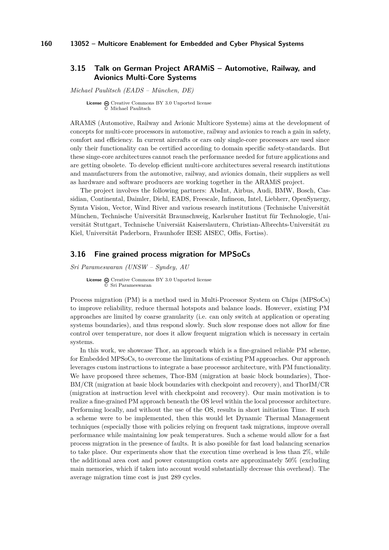### <span id="page-11-0"></span>**3.15 Talk on German Project ARAMiS – Automotive, Railway, and Avionics Multi-Core Systems**

*Michael Paulitsch (EADS – München, DE)*

License  $\textcircled{c}$  [Creative Commons BY 3.0 Unported](http://creativecommons.org/licenses/by/3.0/) license © [Michael Paulitsch](#page-11-0)

ARAMiS (Automotive, Railway and Avionic Multicore Systems) aims at the development of concepts for multi-core processors in automotive, railway and avionics to reach a gain in safety, comfort and efficiency. In current aircrafts or cars only single-core processors are used since only their functionality can be certified according to domain specific safety-standards. But these singe-core architectures cannot reach the performance needed for future applications and are getting obsolete. To develop efficient multi-core architectures several research institutions and manufacturers from the automotive, railway, and avionics domain, their suppliers as well as hardware and software producers are working together in the ARAMiS project.

The project involves the following partners: AbsInt, Airbus, Audi, BMW, Bosch, Cassidian, Continental, Daimler, Diehl, EADS, Freescale, Infineon, Intel, Liebherr, OpenSynergy, Symta Vision, Vector, Wind River and various research institutions (Technische Universität München, Technische Universität Braunschweig, Karlsruher Institut für Technologie, Universität Stuttgart, Technische Universiät Kaiserslautern, Christian-Albrechts-Universität zu Kiel, Universität Paderborn, Fraunhofer IESE AISEC, Offis, Fortiss).

### <span id="page-11-1"></span>**3.16 Fine grained process migration for MPSoCs**

*Sri Parameswaran (UNSW – Syndey, AU*

License  $\bigcirc$  [Creative Commons BY 3.0 Unported](http://creativecommons.org/licenses/by/3.0/) license © [Sri Parameswaran](#page-11-1)

Process migration (PM) is a method used in Multi-Processor System on Chips (MPSoCs) to improve reliability, reduce thermal hotspots and balance loads. However, existing PM approaches are limited by coarse granularity (i.e. can only switch at application or operating systems boundaries), and thus respond slowly. Such slow response does not allow for fine control over temperature, nor does it allow frequent migration which is necessary in certain systems.

In this work, we showcase Thor, an approach which is a fine-grained reliable PM scheme, for Embedded MPSoCs, to overcome the limitations of existing PM approaches. Our approach leverages custom instructions to integrate a base processor architecture, with PM functionality. We have proposed three schemes, Thor-BM (migration at basic block boundaries), Thor-BM/CR (migration at basic block boundaries with checkpoint and recovery), and ThorIM/CR (migration at instruction level with checkpoint and recovery). Our main motivation is to realize a fine-grained PM approach beneath the OS level within the local processor architecture. Performing locally, and without the use of the OS, results in short initiation Time. If such a scheme were to be implemented, then this would let Dynamic Thermal Management techniques (especially those with policies relying on frequent task migrations, improve overall performance while maintaining low peak temperatures. Such a scheme would allow for a fast process migration in the presence of faults. It is also possible for fast load balancing scenarios to take place. Our experiments show that the execution time overhead is less than 2%, while the additional area cost and power consumption costs are approximately 50% (excluding main memories, which if taken into account would substantially decrease this overhead). The average migration time cost is just 289 cycles.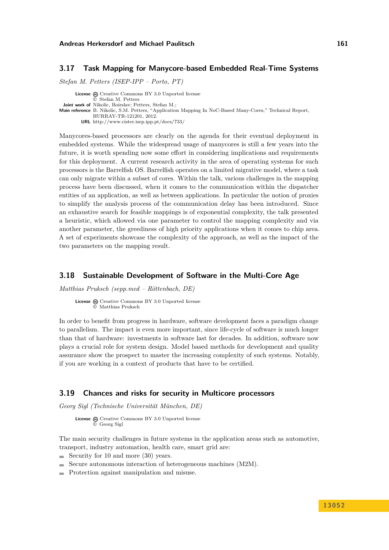### <span id="page-12-0"></span>**3.17 Task Mapping for Manycore-based Embedded Real-Time Systems**

*Stefan M. Petters (ISEP-IPP – Porto, PT)*

**License**  $\textcircled{e}$  [Creative Commons BY 3.0 Unported](http://creativecommons.org/licenses/by/3.0/) license © [Stefan M. Petters](#page-12-0) **Joint work of** Nikolic, Boirslav; Petters, Stefan M.; **Main reference** [B. Nikolic, S.M. Petters, "Application Mapping In NoC-Based Many-Cores," Technical Report,](http://www.cister.isep.ipp.pt/docs/733/) [HURRAY-TR-121201, 2012.](http://www.cister.isep.ipp.pt/docs/733/) **URL** <http://www.cister.isep.ipp.pt/docs/733/>

Manycores-based processors are clearly on the agenda for their eventual deployment in embedded systems. While the widespread usage of manycores is still a few years into the future, it is worth spending now some effort in considering implications and requirements for this deployment. A current research activity in the area of operating systems for such processors is the Barrelfish OS. Barrelfish operates on a limited migrative model, where a task can only migrate within a subset of cores. Within the talk, various challenges in the mapping process have been discussed, when it comes to the communication within the dispatcher entities of an application, as well as between applications. In particular the notion of proxies to simplify the analysis process of the communication delay has been introduced. Since an exhaustive search for feasible mappings is of exponential complexity, the talk presented a heuristic, which allowed via one parameter to control the mapping complexity and via another parameter, the greediness of high priority applications when it comes to chip area. A set of experiments showcase the complexity of the approach, as well as the impact of the two parameters on the mapping result.

### <span id="page-12-1"></span>**3.18 Sustainable Development of Software in the Multi-Core Age**

*Matthias Pruksch (sepp.med – Röttenbach, DE)*

License  $\textcircled{a}$  [Creative Commons BY 3.0 Unported](http://creativecommons.org/licenses/by/3.0/) license © [Matthias Pruksch](#page-12-1)

In order to benefit from progress in hardware, software development faces a paradigm change to parallelism. The impact is even more important, since life-cycle of software is much longer than that of hardware: investments in software last for decades. In addition, software now plays a crucial role for system design. Model based methods for development and quality assurance show the prospect to master the increasing complexity of such systems. Notably, if you are working in a context of products that have to be certified.

### <span id="page-12-2"></span>**3.19 Chances and risks for security in Multicore processors**

*Georg Sigl (Technische Universität München, DE)*

License  $\textcircled{c}$  [Creative Commons BY 3.0 Unported](http://creativecommons.org/licenses/by/3.0/) license © [Georg Sigl](#page-12-2)

The main security challenges in future systems in the application areas such as automotive, transport, industry automation, health care, smart grid are:

- Security for 10 and more  $(30)$  years.
- Secure autonomous interaction of heterogeneous machines (M2M).
- Protection against manipulation and misuse.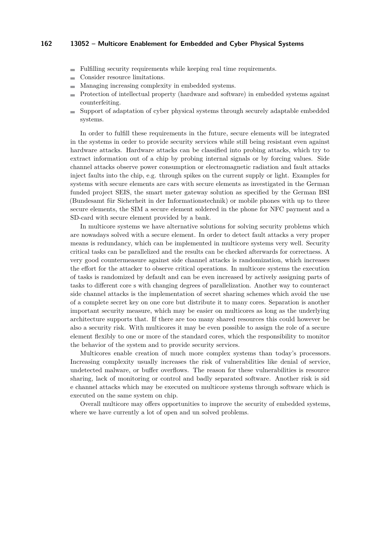- Fulfilling security requirements while keeping real time requirements.
- Consider resource limitations.
- Managing increasing complexity in embedded systems.
- Protection of intellectual property (hardware and software) in embedded systems against counterfeiting.
- Support of adaptation of cyber physical systems through securely adaptable embedded  $\mathbf{r}$ systems.

In order to fulfill these requirements in the future, secure elements will be integrated in the systems in order to provide security services while still being resistant even against hardware attacks. Hardware attacks can be classified into probing attacks, which try to extract information out of a chip by probing internal signals or by forcing values. Side channel attacks observe power consumption or electromagnetic radiation and fault attacks inject faults into the chip, e.g. through spikes on the current supply or light. Examples for systems with secure elements are cars with secure elements as investigated in the German funded project SEIS, the smart meter gateway solution as specified by the German BSI (Bundesamt für Sicherheit in der Informationstechnik) or mobile phones with up to three secure elements, the SIM a secure element soldered in the phone for NFC payment and a SD-card with secure element provided by a bank.

In multicore systems we have alternative solutions for solving security problems which are nowadays solved with a secure element. In order to detect fault attacks a very proper means is redundancy, which can be implemented in multicore systems very well. Security critical tasks can be parallelized and the results can be checked afterwards for correctness. A very good countermeasure against side channel attacks is randomization, which increases the effort for the attacker to observe critical operations. In multicore systems the execution of tasks is randomized by default and can be even increased by actively assigning parts of tasks to different core s with changing degrees of parallelization. Another way to counteract side channel attacks is the implementation of secret sharing schemes which avoid the use of a complete secret key on one core but distribute it to many cores. Separation is another important security measure, which may be easier on multicores as long as the underlying architecture supports that. If there are too many shared resources this could however be also a security risk. With multicores it may be even possible to assign the role of a secure element flexibly to one or more of the standard cores, which the responsibility to monitor the behavior of the system and to provide security services.

Multicores enable creation of much more complex systems than today's processors. Increasing complexity usually increases the risk of vulnerabilities like denial of service, undetected malware, or buffer overflows. The reason for these vulnerabilities is resource sharing, lack of monitoring or control and badly separated software. Another risk is sid e channel attacks which may be executed on multicore systems through software which is executed on the same system on chip.

Overall multicore may offers opportunities to improve the security of embedded systems, where we have currently a lot of open and un solved problems.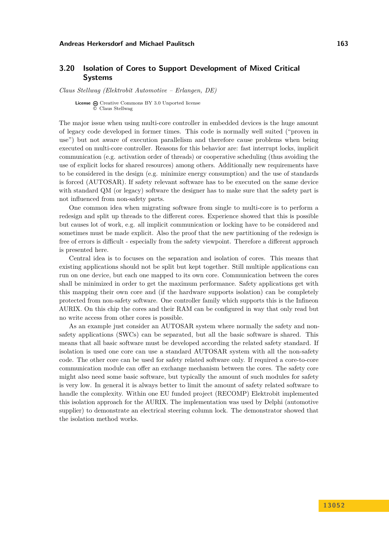### <span id="page-14-0"></span>**3.20 Isolation of Cores to Support Development of Mixed Critical Systems**

*Claus Stellwag (Elektrobit Automotive – Erlangen, DE)*

**License**  $\textcircled{c}$  [Creative Commons BY 3.0 Unported](http://creativecommons.org/licenses/by/3.0/) license © [Claus Stellwag](#page-14-0)

The major issue when using multi-core controller in embedded devices is the huge amount of legacy code developed in former times. This code is normally well suited ("proven in use") but not aware of execution parallelism and therefore cause problems when being executed on multi-core controller. Reasons for this behavior are: fast interrupt locks, implicit communication (e.g. activation order of threads) or cooperative scheduling (thus avoiding the use of explicit locks for shared resources) among others. Additionally new requirements have to be considered in the design (e.g. minimize energy consumption) and the use of standards is forced (AUTOSAR). If safety relevant software has to be executed on the same device with standard QM (or legacy) software the designer has to make sure that the safety part is not influenced from non-safety parts.

One common idea when migrating software from single to multi-core is to perform a redesign and split up threads to the different cores. Experience showed that this is possible but causes lot of work, e.g. all implicit communication or locking have to be considered and sometimes must be made explicit. Also the proof that the new partitioning of the redesign is free of errors is difficult - especially from the safety viewpoint. Therefore a different approach is presented here.

Central idea is to focuses on the separation and isolation of cores. This means that existing applications should not be split but kept together. Still multiple applications can run on one device, but each one mapped to its own core. Communication between the cores shall be minimized in order to get the maximum performance. Safety applications get with this mapping their own core and (if the hardware supports isolation) can be completely protected from non-safety software. One controller family which supports this is the Infineon AURIX. On this chip the cores and their RAM can be configured in way that only read but no write access from other cores is possible.

As an example just consider an AUTOSAR system where normally the safety and nonsafety applications (SWCs) can be separated, but all the basic software is shared. This means that all basic software must be developed according the related safety standard. If isolation is used one core can use a standard AUTOSAR system with all the non-safety code. The other core can be used for safety related software only. If required a core-to-core communication module can offer an exchange mechanism between the cores. The safety core might also need some basic software, but typically the amount of such modules for safety is very low. In general it is always better to limit the amount of safety related software to handle the complexity. Within one EU funded project (RECOMP) Elektrobit implemented this isolation approach for the AURIX. The implementation was used by Delphi (automotive supplier) to demonstrate an electrical steering column lock. The demonstrator showed that the isolation method works.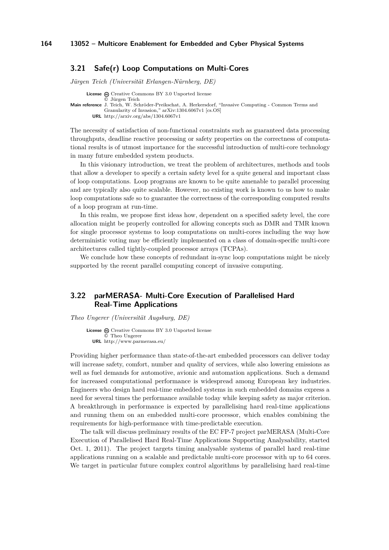### <span id="page-15-0"></span>**3.21 Safe(r) Loop Computations on Multi-Cores**

*Jürgen Teich (Universität Erlangen-Nürnberg, DE)*

**License**  $\odot$  [Creative Commons BY 3.0 Unported](http://creativecommons.org/licenses/by/3.0/) license

**Main reference** [J. Teich, W. Schröder-Preikschat, A. Herkersdorf, "Invasive Computing - Common Terms and](http://arxiv.org/abs/1304.6067v1) [Granularity of Invasion," arXiv:1304.6067v1 \[cs.OS\]](http://arxiv.org/abs/1304.6067v1) **URL** <http://arxiv.org/abs/1304.6067v1>

The necessity of satisfaction of non-functional constraints such as guaranteed data processing throughputs, deadline reactive processing or safety properties on the correctness of computational results is of utmost importance for the successful introduction of multi-core technology in many future embedded system products.

In this visionary introduction, we treat the problem of architectures, methods and tools that allow a developer to specify a certain safety level for a quite general and important class of loop computations. Loop programs are known to be quite amenable to parallel processing and are typically also quite scalable. However, no existing work is known to us how to make loop computations safe so to guarantee the correctness of the corresponding computed results of a loop program at run-time.

In this realm, we propose first ideas how, dependent on a specified safety level, the core allocation might be properly controlled for allowing concepts such as DMR and TMR known for single processor systems to loop computations on multi-cores including the way how deterministic voting may be efficiently implemented on a class of domain-specific multi-core architectures called tightly-coupled processor arrays (TCPAs).

We conclude how these concepts of redundant in-sync loop computations might be nicely supported by the recent parallel computing concept of invasive computing.

### <span id="page-15-1"></span>**3.22 parMERASA- Multi-Core Execution of Parallelised Hard Real-Time Applications**

*Theo Ungerer (Universität Augsburg, DE)*

License  $\textcircled{c}$  [Creative Commons BY 3.0 Unported](http://creativecommons.org/licenses/by/3.0/) license © [Theo Ungerer](#page-15-1) **URL** <http://www.parmerasa.eu/>

Providing higher performance than state-of-the-art embedded processors can deliver today will increase safety, comfort, number and quality of services, while also lowering emissions as well as fuel demands for automotive, avionic and automation applications. Such a demand for increased computational performance is widespread among European key industries. Engineers who design hard real-time embedded systems in such embedded domains express a need for several times the performance available today while keeping safety as major criterion. A breakthrough in performance is expected by parallelising hard real-time applications and running them on an embedded multi-core processor, which enables combining the requirements for high-performance with time-predictable execution.

The talk will discuss preliminary results of the EC FP-7 project parMERASA (Multi-Core Execution of Parallelised Hard Real-Time Applications Supporting Analysability, started Oct. 1, 2011). The project targets timing analysable systems of parallel hard real-time applications running on a scalable and predictable multi-core processor with up to 64 cores. We target in particular future complex control algorithms by parallelising hard real-time

<sup>©</sup> [Jürgen Teich](#page-15-0)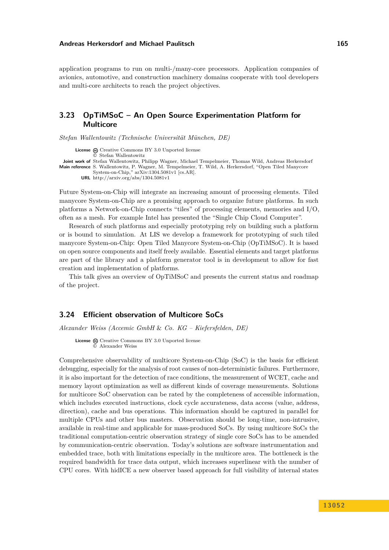application programs to run on multi-/many-core processors. Application companies of avionics, automotive, and construction machinery domains cooperate with tool developers and multi-core architects to reach the project objectives.

### <span id="page-16-0"></span>**3.23 OpTiMSoC – An Open Source Experimentation Platform for Multicore**

*Stefan Wallentowitz (Technische Universität München, DE)*

License  $\textcircled{c}$  [Creative Commons BY 3.0 Unported](http://creativecommons.org/licenses/by/3.0/) license © [Stefan Wallentowitz](#page-16-0) **Joint work of** Stefan Wallentowitz, Philipp Wagner, Michael Tempelmeier, Thomas Wild, Andreas Herkersdorf **Main reference** [S. Wallentowitz, P. Wagner, M. Tempelmeier, T. Wild, A. Herkersdorf, "Open Tiled Manycore](http://arxiv.org/abs/1304.5081v1) [System-on-Chip," arXiv:1304.5081v1 \[cs.AR\].](http://arxiv.org/abs/1304.5081v1) **URL** <http://arxiv.org/abs/1304.5081v1>

Future System-on-Chip will integrate an increasing amount of processing elements. Tiled manycore System-on-Chip are a promising approach to organize future platforms. In such platforms a Network-on-Chip connects "tiles" of processing elements, memories and I/O, often as a mesh. For example Intel has presented the "Single Chip Cloud Computer".

Research of such platforms and especially prototyping rely on building such a platform or is bound to simulation. At LIS we develop a framework for prototyping of such tiled manycore System-on-Chip: Open Tiled Manycore System-on-Chip (OpTiMSoC). It is based on open source components and itself freely available. Essential elements and target platforms are part of the library and a platform generator tool is in development to allow for fast creation and implementation of platforms.

This talk gives an overview of OpTiMSoC and presents the current status and roadmap of the project.

### <span id="page-16-1"></span>**3.24 Efficient observation of Multicore SoCs**

*Alexander Weiss (Accemic GmbH* & *Co. KG – Kiefersfelden, DE)*

License  $\textcircled{a}$  [Creative Commons BY 3.0 Unported](http://creativecommons.org/licenses/by/3.0/) license © [Alexander Weiss](#page-16-1)

Comprehensive observability of multicore System-on-Chip (SoC) is the basis for efficient debugging, especially for the analysis of root causes of non-deterministic failures. Furthermore, it is also important for the detection of race conditions, the measurement of WCET, cache and memory layout optimization as well as different kinds of coverage measurements. Solutions for multicore SoC observation can be rated by the completeness of accessible information, which includes executed instructions, clock cycle accurateness, data access (value, address, direction), cache and bus operations. This information should be captured in parallel for multiple CPUs and other bus masters. Observation should be long-time, non-intrusive, available in real-time and applicable for mass-produced SoCs. By using multicore SoCs the traditional computation-centric observation strategy of single core SoCs has to be amended by communication-centric observation. Today's solutions are software instrumentation and embedded trace, both with limitations especially in the multicore area. The bottleneck is the required bandwidth for trace data output, which increases superlinear with the number of CPU cores. With hidICE a new observer based approach for full visibility of internal states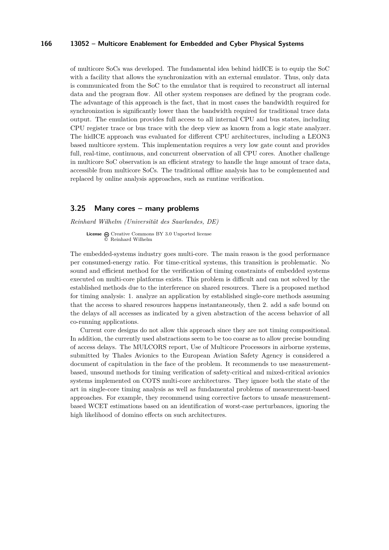of multicore SoCs was developed. The fundamental idea behind hidICE is to equip the SoC with a facility that allows the synchronization with an external emulator. Thus, only data is communicated from the SoC to the emulator that is required to reconstruct all internal data and the program flow. All other system responses are defined by the program code. The advantage of this approach is the fact, that in most cases the bandwidth required for synchronization is significantly lower than the bandwidth required for traditional trace data output. The emulation provides full access to all internal CPU and bus states, including CPU register trace or bus trace with the deep view as known from a logic state analyzer. The hidICE approach was evaluated for different CPU architectures, including a LEON3 based multicore system. This implementation requires a very low gate count and provides full, real-time, continuous, and concurrent observation of all CPU cores. Another challenge in multicore SoC observation is an efficient strategy to handle the huge amount of trace data, accessible from multicore SoCs. The traditional offline analysis has to be complemented and replaced by online analysis approaches, such as runtime verification.

### <span id="page-17-0"></span>**3.25 Many cores – many problems**

*Reinhard Wilhelm (Universität des Saarlandes, DE)*

**License**  $\textcircled{e}$  [Creative Commons BY 3.0 Unported](http://creativecommons.org/licenses/by/3.0/) license © [Reinhard Wilhelm](#page-17-0)

The embedded-systems industry goes multi-core. The main reason is the good performance per consumed-energy ratio. For time-critical systems, this transition is problematic. No sound and efficient method for the verification of timing constraints of embedded systems executed on multi-core platforms exists. This problem is difficult and can not solved by the established methods due to the interference on shared resources. There is a proposed method for timing analysis: 1. analyze an application by established single-core methods assuming that the access to shared resources happens instantaneously, then 2. add a safe bound on the delays of all accesses as indicated by a given abstraction of the access behavior of all co-running applications.

Current core designs do not allow this approach since they are not timing compositional. In addition, the currently used abstractions seem to be too coarse as to allow precise bounding of access delays. The MULCORS report, Use of Multicore Processors in airborne systems, submitted by Thales Avionics to the European Aviation Safety Agency is considered a document of capitulation in the face of the problem. It recommends to use measurementbased, unsound methods for timing verification of safety-critical and mixed-critical avionics systems implemented on COTS multi-core architectures. They ignore both the state of the art in single-core timing analysis as well as fundamental problems of measurement-based approaches. For example, they recommend using corrective factors to unsafe measurementbased WCET estimations based on an identification of worst-case perturbances, ignoring the high likelihood of domino effects on such architectures.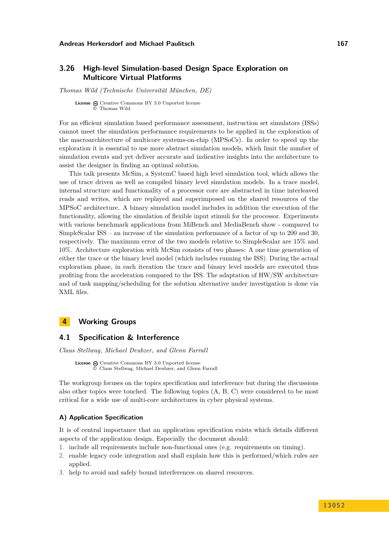### <span id="page-18-0"></span>**3.26 High-level Simulation-based Design Space Exploration on Multicore Virtual Platforms**

*Thomas Wild (Technische Universität München, DE)*

License  $\odot$  [Creative Commons BY 3.0 Unported](http://creativecommons.org/licenses/by/3.0/) license © [Thomas Wild](#page-18-0)

For an efficient simulation based performance assessment, instruction set simulators (ISSs) cannot meet the simulation performance requirements to be applied in the exploration of the macroarchitecture of multicore systems-on-chip (MPSoCs). In order to speed up the exploration it is essential to use more abstract simulation models, which limit the number of simulation events and yet deliver accurate and indicative insights into the architecture to assist the designer in finding an optimal solution.

This talk presents McSim, a SystemC based high level simulation tool, which allows the use of trace driven as well as compiled binary level simulation models. In a trace model, internal structure and functionality of a processor core are abstracted in time interleaved reads and writes, which are replayed and superimposed on the shared resources of the MPSoC architecture. A binary simulation model includes in addition the execution of the functionality, allowing the simulation of flexible input stimuli for the processor. Experiments with various benchmark applications from MiBench and MediaBench show - compared to SimpleScalar ISS – an increase of the simulation performance of a factor of up to 200 and 30, respectively. The maximum error of the two models relative to SimpleScalar are 15% and 10%. Architecture exploration with McSim consists of two phases: A one time generation of either the trace or the binary level model (which includes running the ISS). During the actual exploration phase, in each iteration the trace and binary level models are executed thus profiting from the acceleration compared to the ISS. The adaptation of HW/SW architecture and of task mapping/scheduling for the solution alternative under investigation is done via XML files.

### <span id="page-18-1"></span>**4 Working Groups**

### <span id="page-18-2"></span>**4.1 Specification & Interference**

*Claus Stellwag, Michael Deubzer, and Glenn Farrall*

License  $\bigcirc$  [Creative Commons BY 3.0 Unported](http://creativecommons.org/licenses/by/3.0/) license © [Claus Stellwag, Michael Deubzer, and Glenn Farrall](#page-18-2)

The workgroup focuses on the topics specification and interference but during the discussions also other topics were touched. The following topics (A, B, C) were considered to be most critical for a wide use of multi-core architectures in cyber physical systems.

#### **A) Application Specification**

It is of central importance that an application specification exists which details different aspects of the application design. Especially the document should:

- 1. include all requirements include non-functional ones (e.g. requirements on timing).
- 2. enable legacy code integration and shall explain how this is performed/which rules are applied.
- 3. help to avoid and safely bound interferences on shared resources.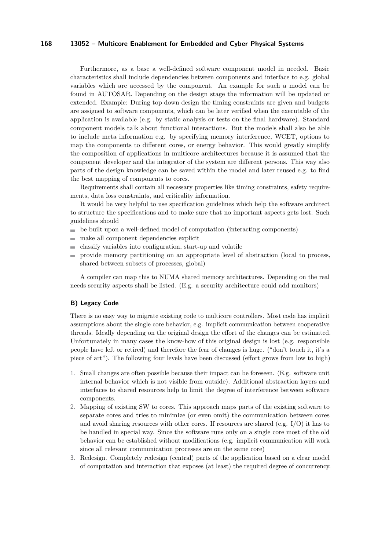Furthermore, as a base a well-defined software component model in needed. Basic characteristics shall include dependencies between components and interface to e.g. global variables which are accessed by the component. An example for such a model can be found in AUTOSAR. Depending on the design stage the information will be updated or extended. Example: During top down design the timing constraints are given and budgets are assigned to software components, which can be later verified when the executable of the application is available (e.g. by static analysis or tests on the final hardware). Standard component models talk about functional interactions. But the models shall also be able to include meta information e.g. by specifying memory interference, WCET, options to map the components to different cores, or energy behavior. This would greatly simplify the composition of applications in multicore architectures because it is assumed that the component developer and the integrator of the system are different persons. This way also parts of the design knowledge can be saved within the model and later reused e.g. to find the best mapping of components to cores.

Requirements shall contain all necessary properties like timing constraints, safety requirements, data loss constraints, and criticality information.

It would be very helpful to use specification guidelines which help the software architect to structure the specifications and to make sure that no important aspects gets lost. Such guidelines should

- be built upon a well-defined model of computation (interacting components) m.
- make all component dependencies explicit  $\sim$
- classify variables into configuration, start-up and volatile  $\equiv$
- $\blacksquare$  provide memory partitioning on an appropriate level of abstraction (local to process, shared between subsets of processes, global)

A compiler can map this to NUMA shared memory architectures. Depending on the real needs security aspects shall be listed. (E.g. a security architecture could add monitors)

### **B) Legacy Code**

There is no easy way to migrate existing code to multicore controllers. Most code has implicit assumptions about the single core behavior, e.g. implicit communication between cooperative threads. Ideally depending on the original design the effort of the changes can be estimated. Unfortunately in many cases the know-how of this original design is lost (e.g. responsible people have left or retired) and therefore the fear of changes is huge. ("don't touch it, it's a piece of art"). The following four levels have been discussed (effort grows from low to high)

- 1. Small changes are often possible because their impact can be foreseen. (E.g. software unit internal behavior which is not visible from outside). Additional abstraction layers and interfaces to shared resources help to limit the degree of interference between software components.
- 2. Mapping of existing SW to cores. This approach maps parts of the existing software to separate cores and tries to minimize (or even omit) the communication between cores and avoid sharing resources with other cores. If resources are shared (e.g. I/O) it has to be handled in special way. Since the software runs only on a single core most of the old behavior can be established without modifications (e.g. implicit communication will work since all relevant communication processes are on the same core)
- 3. Redesign. Completely redesign (central) parts of the application based on a clear model of computation and interaction that exposes (at least) the required degree of concurrency.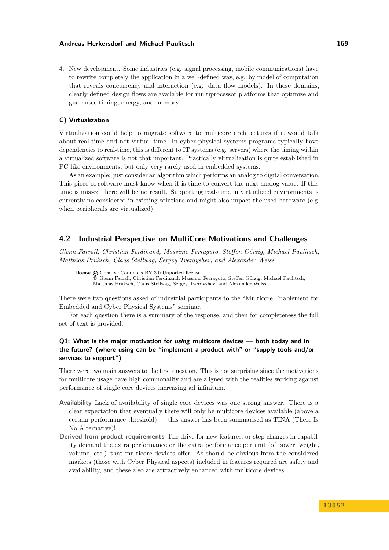4. New development. Some industries (e.g. signal processing, mobile communications) have to rewrite completely the application in a well-defined way, e.g. by model of computation that reveals concurrency and interaction (e.g. data flow models). In these domains, clearly defined design flows are available for multiprocessor platforms that optimize and guarantee timing, energy, and memory.

#### **C) Virtualization**

Virtualization could help to migrate software to multicore architectures if it would talk about real-time and not virtual time. In cyber physical systems programs typically have dependencies to real-time, this is different to IT systems (e.g. servers) where the timing within a virtualized software is not that important. Practically virtualization is quite established in PC like environments, but only very rarely used in embedded systems.

As an example: just consider an algorithm which performs an analog to digital conversation. This piece of software must know when it is time to convert the next analog value. If this time is missed there will be no result. Supporting real-time in virtualized environments is currently no considered in existing solutions and might also impact the used hardware (e.g. when peripherals are virtualized).

### <span id="page-20-0"></span>**4.2 Industrial Perspective on MultiCore Motivations and Challenges**

*Glenn Farrall, Christian Ferdinand, Massimo Ferraguto, Steffen Görzig, Michael Paulitsch, Matthias Pruksch, Claus Stellwag, Sergey Tverdyshev, and Alexander Weiss*

License  $\textcircled{c}$  [Creative Commons BY 3.0 Unported](http://creativecommons.org/licenses/by/3.0/) license © [Glenn Farrall, Christian Ferdinand, Massimo Ferraguto, Steffen Görzig, Michael Paulitsch,](#page-20-0) [Matthias Pruksch, Claus Stellwag, Sergey Tverdyshev, and Alexander Weiss](#page-20-0)

There were two questions asked of industrial participants to the "Multicore Enablement for Embedded and Cyber Physical Systems" seminar.

For each question there is a summary of the response, and then for completeness the full set of text is provided.

### **Q1: What is the major motivation for using multicore devices — both today and in the future? (where using can be "implement a product with" or "supply tools and/or services to support")**

There were two main answers to the first question. This is not surprising since the motivations for multicore usage have high commonality and are aligned with the realities working against performance of single core devices increasing ad infinitum.

- **Availability** Lack of availability of single core devices was one strong answer. There is a clear expectation that eventually there will only be multicore devices available (above a certain performance threshold) — this answer has been summarised as TINA (There Is No Alternative)!
- **Derived from product requirements** The drive for new features, or step changes in capability demand the extra performance or the extra performance per unit (of power, weight, volume, etc.) that multicore devices offer. As should be obvious from the considered markets (those with Cyber Physical aspects) included in features required are safety and availability, and these also are attractively enhanced with multicore devices.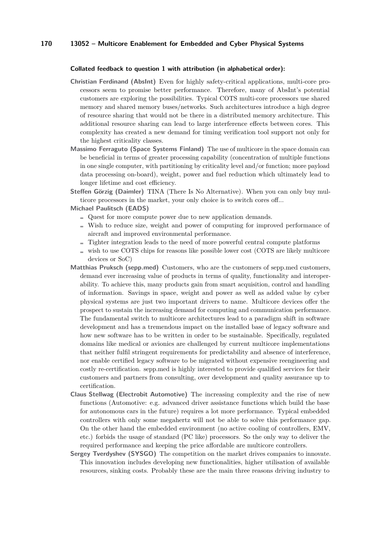#### **Collated feedback to question 1 with attribution (in alphabetical order):**

- **Christian Ferdinand (AbsInt)** Even for highly safety-critical applications, multi-core processors seem to promise better performance. Therefore, many of AbsInt's potential customers are exploring the possibilities. Typical COTS multi-core processors use shared memory and shared memory buses/networks. Such architectures introduce a high degree of resource sharing that would not be there in a distributed memory architecture. This additional resource sharing can lead to large interference effects between cores. This complexity has created a new demand for timing verification tool support not only for the highest criticality classes.
- **Massimo Ferraguto (Space Systems Finland)** The use of multicore in the space domain can be beneficial in terms of greater processing capability (concentration of multiple functions in one single computer, with partitioning by criticality level and/or function; more payload data processing on-board), weight, power and fuel reduction which ultimately lead to longer lifetime and cost efficiency.
- **Steffen Görzig (Daimler)** TINA (There Is No Alternative). When you can only buy multicore processors in the market, your only choice is to switch cores off...
- **Michael Paulitsch (EADS)**
	- Quest for more compute power due to new application demands.
	- Wish to reduce size, weight and power of computing for improved performance of aircraft and improved environmental performance.
	- Tighter integration leads to the need of more powerful central compute platforms
	- $\equiv$  wish to use COTS chips for reasons like possible lower cost (COTS are likely multicore devices or SoC)
- **Matthias Pruksch (sepp.med)** Customers, who are the customers of sepp.med customers, demand ever increasing value of products in terms of quality, functionality and interoperability. To achieve this, many products gain from smart acquisition, control and handling of information. Savings in space, weight and power as well as added value by cyber physical systems are just two important drivers to name. Multicore devices offer the prospect to sustain the increasing demand for computing and communication performance. The fundamental switch to multicore architectures lead to a paradigm shift in software development and has a tremendous impact on the installed base of legacy software and how new software has to be written in order to be sustainable. Specifically, regulated domains like medical or avionics are challenged by current multicore implementations that neither fulfil stringent requirements for predictability and absence of interference, nor enable certified legacy software to be migrated without expensive reengineering and costly re-certification. sepp.med is highly interested to provide qualified services for their customers and partners from consulting, over development and quality assurance up to certification.
- **Claus Stellwag (Electrobit Automotive)** The increasing complexity and the rise of new functions (Automotive: e.g. advanced driver assistance functions which build the base for autonomous cars in the future) requires a lot more performance. Typical embedded controllers with only some megahertz will not be able to solve this performance gap. On the other hand the embedded environment (no active cooling of controllers, EMV, etc.) forbids the usage of standard (PC like) processors. So the only way to deliver the required performance and keeping the price affordable are multicore controllers.
- **Sergey Tverdyshev (SYSGO)** The competition on the market drives companies to innovate. This innovation includes developing new functionalities, higher utilisation of available resources, sinking costs. Probably these are the main three reasons driving industry to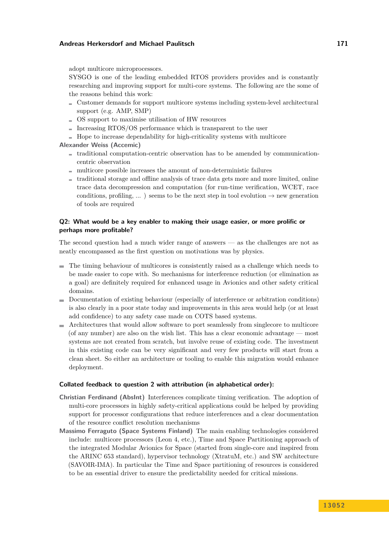adopt multicore microprocessors.

SYSGO is one of the leading embedded RTOS providers provides and is constantly researching and improving support for multi-core systems. The following are the some of the reasons behind this work:

- $\blacksquare$  Customer demands for support multicore systems including system-level architectural support (e.g. AMP, SMP)
- $\sim$  OS support to maximise utilisation of HW resources
- Increasing  $RTOS/OS$  performance which is transparent to the user
- $\blacksquare$  Hope to increase dependability for high-criticality systems with multicore

#### **Alexander Weiss (Accemic)**

- traditional computation-centric observation has to be amended by communicationcentric observation
- $\blacksquare$  multicore possible increases the amount of non-deterministic failures
- $\blacksquare$  traditional storage and offline analysis of trace data gets more and more limited, online trace data decompression and computation (for run-time verification, WCET, race conditions, profiling, ... ) seems to be the next step in tool evolution  $\rightarrow$  new generation of tools are required

### **Q2: What would be a key enabler to making their usage easier, or more prolific or perhaps more profitable?**

The second question had a much wider range of answers — as the challenges are not as neatly encompassed as the first question on motivations was by physics.

- The timing behaviour of multicores is consistently raised as a challenge which needs to be made easier to cope with. So mechanisms for interference reduction (or elimination as a goal) are definitely required for enhanced usage in Avionics and other safety critical domains.
- Documentation of existing behaviour (especially of interference or arbitration conditions) is also clearly in a poor state today and improvements in this area would help (or at least add confidence) to any safety case made on COTS based systems.
- Architectures that would allow software to port seamlessly from singlecore to multicore (of any number) are also on the wish list. This has a clear economic advantage — most systems are not created from scratch, but involve reuse of existing code. The investment in this existing code can be very significant and very few products will start from a clean sheet. So either an architecture or tooling to enable this migration would enhance deployment.

#### **Collated feedback to question 2 with attribution (in alphabetical order):**

- **Christian Ferdinand (AbsInt)** Interferences complicate timing verification. The adoption of multi-core processors in highly safety-critical applications could be helped by providing support for processor configurations that reduce interferences and a clear documentation of the resource conflict resolution mechanisms
- **Massimo Ferraguto (Space Systems Finland)** The main enabling technologies considered include: multicore processors (Leon 4, etc.), Time and Space Partitioning approach of the integrated Modular Avionics for Space (started from single-core and inspired from the ARINC 653 standard), hypervisor technology (XtratuM, etc.) and SW architecture (SAVOIR-IMA). In particular the Time and Space partitioning of resources is considered to be an essential driver to ensure the predictability needed for critical missions.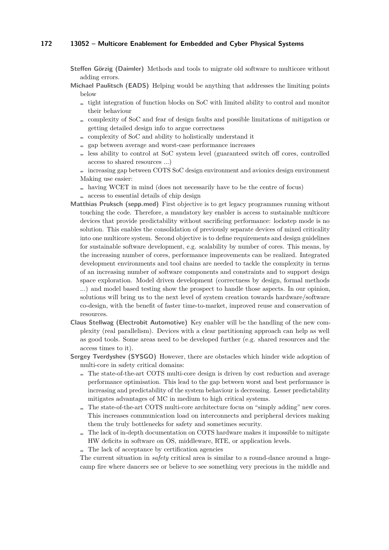- **Steffen Görzig (Daimler)** Methods and tools to migrate old software to multicore without adding errors.
- **Michael Paulitsch (EADS)** Helping would be anything that addresses the limiting points below
	- $\equiv$  tight integration of function blocks on SoC with limited ability to control and monitor their behaviour
	- complexity of SoC and fear of design faults and possible limitations of mitigation or getting detailed design info to argue correctness
	- complexity of SoC and ability to holistically understand it
	- gap between average and worst-case performance increases
	- $\blacksquare$  less ability to control at SoC system level (guaranteed switch off cores, controlled access to shared resources ...)
	- increasing gap between COTS SoC design environment and avionics design environment Making use easier:
	- having WCET in mind (does not necessarily have to be the centre of focus)
	- $\equiv$  access to essential details of chip design
- **Matthias Pruksch (sepp.med)** First objective is to get legacy programmes running without touching the code. Therefore, a mandatory key enabler is access to sustainable multicore devices that provide predictability without sacrificing performance: lockstep mode is no solution. This enables the consolidation of previously separate devices of mixed criticality into one multicore system. Second objective is to define requirements and design guidelines for sustainable software development, e.g. scalability by number of cores. This means, by the increasing number of cores, performance improvements can be realized. Integrated development environments and tool chains are needed to tackle the complexity in terms of an increasing number of software components and constraints and to support design space exploration. Model driven development (correctness by design, formal methods ...) and model based testing show the prospect to handle those aspects. In our opinion, solutions will bring us to the next level of system creation towards hardware/software co-design, with the benefit of faster time-to-market, improved reuse and conservation of resources.
- **Claus Stellwag (Electrobit Automotive)** Key enabler will be the handling of the new complexity (real parallelism). Devices with a clear partitioning approach can help as well as good tools. Some areas need to be developed further (e.g. shared resources and the access times to it).
- **Sergey Tverdyshev (SYSGO)** However, there are obstacles which hinder wide adoption of multi-core in safety critical domains:
	- The state-of-the-art COTS multi-core design is driven by cost reduction and average performance optimisation. This lead to the gap between worst and best performance is increasing and predictability of the system behaviour is decreasing. Lesser predictability mitigates advantages of MC in medium to high critical systems.
	- The state-of-the-art COTS multi-core architecture focus on "simply adding" new cores. This increases communication load on interconnects and peripheral devices making them the truly bottlenecks for safety and sometimes security.
	- The lack of in-depth documentation on COTS hardware makes it impossible to mitigate HW deficits in software on OS, middleware, RTE, or application levels.
	- $\blacksquare$  The lack of acceptance by certification agencies

The current situation in *safety* critical area is similar to a round-dance around a hugecamp fire where dancers see or believe to see something very precious in the middle and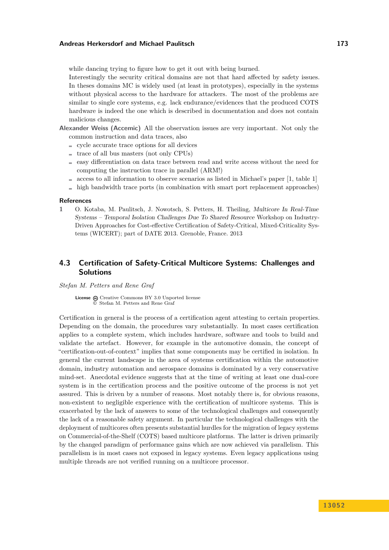while dancing trying to figure how to get it out with being burned.

Interestingly the security critical domains are not that hard affected by safety issues. In theses domains MC is widely used (at least in prototypes), especially in the systems without physical access to the hardware for attackers. The most of the problems are similar to single core systems, e.g. lack endurance/evidences that the produced COTS hardware is indeed the one which is described in documentation and does not contain malicious changes.

- **Alexander Weiss (Accemic)** All the observation issues are very important. Not only the common instruction and data traces, also
	- $\equiv$  cycle accurate trace options for all devices
	- $\equiv$  trace of all bus masters (not only CPUs)
	- $\equiv$  easy differentiation on data trace between read and write access without the need for computing the instruction trace in parallel (ARM!)
	- $\alpha$  access to all information to observe scenarios as listed in Michael's paper [\[1,](#page-24-1) table 1]
	- high bandwidth trace ports (in combination with smart port replacement approaches)

#### **References**

<span id="page-24-1"></span>**1** O. Kotaba, M. Paulitsch, J. Nowotsch, S. Petters, H. Theiling, Multicore In Real-Time Systems – Temporal Isolation Challenges Due To Shared Resource Workshop on Industry-Driven Approaches for Cost-effective Certification of Safety-Critical, Mixed-Criticality Systems (WICERT); part of DATE 2013. Grenoble, France. 2013

### <span id="page-24-0"></span>**4.3 Certification of Safety-Critical Multicore Systems: Challenges and Solutions**

#### *Stefan M. Petters and Rene Graf*

License  $\textcircled{a}$  [Creative Commons BY 3.0 Unported](http://creativecommons.org/licenses/by/3.0/) license © [Stefan M. Petters and Rene Graf](#page-24-0)

Certification in general is the process of a certification agent attesting to certain properties. Depending on the domain, the procedures vary substantially. In most cases certification applies to a complete system, which includes hardware, software and tools to build and validate the artefact. However, for example in the automotive domain, the concept of "certification-out-of-context" implies that some components may be certified in isolation. In general the current landscape in the area of systems certification within the automotive domain, industry automation and aerospace domains is dominated by a very conservative mind-set. Anecdotal evidence suggests that at the time of writing at least one dual-core system is in the certification process and the positive outcome of the process is not yet assured. This is driven by a number of reasons. Most notably there is, for obvious reasons, non-existent to negligible experience with the certification of multicore systems. This is exacerbated by the lack of answers to some of the technological challenges and consequently the lack of a reasonable safety argument. In particular the technological challenges with the deployment of multicores often presents substantial hurdles for the migration of legacy systems on Commercial-of-the-Shelf (COTS) based multicore platforms. The latter is driven primarily by the changed paradigm of performance gains which are now achieved via parallelism. This parallelism is in most cases not exposed in legacy systems. Even legacy applications using multiple threads are not verified running on a multicore processor.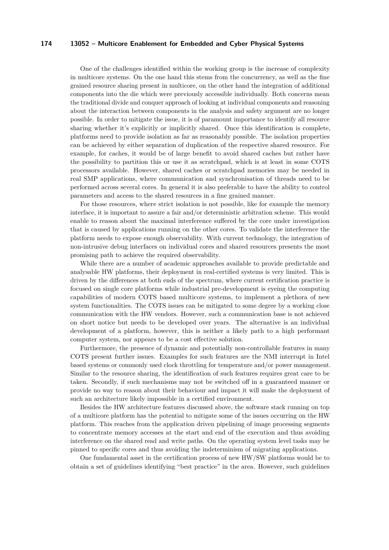One of the challenges identified within the working group is the increase of complexity in multicore systems. On the one hand this stems from the concurrency, as well as the fine grained resource sharing present in multicore, on the other hand the integration of additional components into the die which were previously accessible individually. Both concerns mean the traditional divide and conquer approach of looking at individual components and reasoning about the interaction between components in the analysis and safety argument are no longer possible. In order to mitigate the issue, it is of paramount importance to identify all resource sharing whether it's explicitly or implicitly shared. Once this identification is complete, platforms need to provide isolation as far as reasonably possible. The isolation properties can be achieved by either separation of duplication of the respective shared resource. For example, for caches, it would be of large benefit to avoid shared caches but rather have the possibility to partition this or use it as scratchpad, which is at least in some COTS processors available. However, shared caches or scratchpad memories may be needed in real SMP applications, where communication and synchronisation of threads need to be performed across several cores. In general it is also preferable to have the ability to control parameters and access to the shared resources in a fine grained manner.

For those resources, where strict isolation is not possible, like for example the memory interface, it is important to assure a fair and/or deterministic arbitration scheme. This would enable to reason about the maximal interference suffered by the core under investigation that is caused by applications running on the other cores. To validate the interference the platform needs to expose enough observability. With current technology, the integration of non-intrusive debug interfaces on individual cores and shared resources presents the most promising path to achieve the required observability.

While there are a number of academic approaches available to provide predictable and analysable HW platforms, their deployment in real-certified systems is very limited. This is driven by the differences at both ends of the spectrum, where current certification practice is focused on single core platforms while industrial pre-development is eyeing the computing capabilities of modern COTS based multicore systems, to implement a plethora of new system functionalities. The COTS issues can be mitigated to some degree by a working close communication with the HW vendors. However, such a communication base is not achieved on short notice but needs to be developed over years. The alternative is an individual development of a platform, however, this is neither a likely path to a high performant computer system, nor appears to be a cost effective solution.

Furthermore, the presence of dynamic and potentially non-controllable features in many COTS present further issues. Examples for such features are the NMI interrupt in Intel based systems or commonly used clock throttling for temperature and/or power management. Similar to the resource sharing, the identification of such features requires great care to be taken. Secondly, if such mechanisms may not be switched off in a guaranteed manner or provide no way to reason about their behaviour and impact it will make the deployment of such an architecture likely impossible in a certified environment.

Besides the HW architecture features discussed above, the software stack running on top of a multicore platform has the potential to mitigate some of the issues occurring on the HW platform. This reaches from the application driven pipelining of image processing segments to concentrate memory accesses at the start and end of the execution and thus avoiding interference on the shared read and write paths. On the operating system level tasks may be pinned to specific cores and thus avoiding the indeterminism of migrating applications.

One fundamental asset in the certification process of new HW/SW platforms would be to obtain a set of guidelines identifying "best practice" in the area. However, such guidelines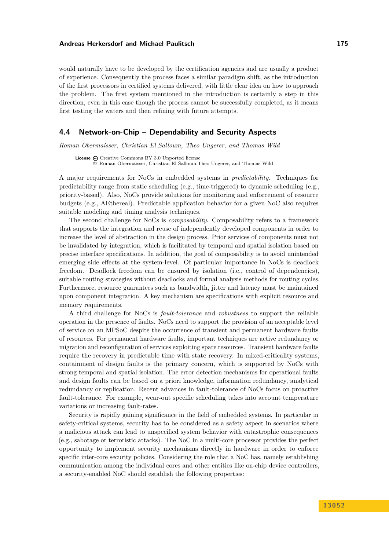would naturally have to be developed by the certification agencies and are usually a product of experience. Consequently the process faces a similar paradigm shift, as the introduction of the first processors in certified systems delivered, with little clear idea on how to approach the problem. The first system mentioned in the introduction is certainly a step in this direction, even in this case though the process cannot be successfully completed, as it means first testing the waters and then refining with future attempts.

### <span id="page-26-0"></span>**4.4 Network-on-Chip – Dependability and Security Aspects**

*Roman Obermaisser, Christian El Salloum, Theo Ungerer, and Thomas Wild*

**License**  $\textcircled{e}$  [Creative Commons BY 3.0 Unported](http://creativecommons.org/licenses/by/3.0/) license © [Roman Obermaisser, Christian El Salloum,Theo Ungerer, and Thomas Wild](#page-26-0)

A major requirements for NoCs in embedded systems in *predictability*. Techniques for predictability range from static scheduling (e.g., time-triggered) to dynamic scheduling (e.g., priority-based). Also, NoCs provide solutions for monitoring and enforcement of resource budgets (e.g., AEthereal). Predictable application behavior for a given NoC also requires suitable modeling and timing analysis techniques.

The second challenge for NoCs is *composability*. Composability refers to a framework that supports the integration and reuse of independently developed components in order to increase the level of abstraction in the design process. Prior services of components must not be invalidated by integration, which is facilitated by temporal and spatial isolation based on precise interface specifications. In addition, the goal of composability is to avoid unintended emerging side effects at the system-level. Of particular importance in NoCs is deadlock freedom. Deadlock freedom can be ensured by isolation (i.e., control of dependencies), suitable routing strategies without deadlocks and formal analysis methods for routing cycles. Furthermore, resource guarantees such as bandwidth, jitter and latency must be maintained upon component integration. A key mechanism are specifications with explicit resource and memory requirements.

A third challenge for NoCs is *fault-tolerance* and *robustness* to support the reliable operation in the presence of faults. NoCs need to support the provision of an acceptable level of service on an MPSoC despite the occurrence of transient and permanent hardware faults of resources. For permanent hardware faults, important techniques are active redundancy or migration and reconfiguration of services exploiting spare resources. Transient hardware faults require the recovery in predictable time with state recovery. In mixed-criticality systems, containment of design faults is the primary concern, which is supported by NoCs with strong temporal and spatial isolation. The error detection mechanisms for operational faults and design faults can be based on a priori knowledge, information redundancy, analytical redundancy or replication. Recent advances in fault-tolerance of NoCs focus on proactive fault-tolerance. For example, wear-out specific scheduling takes into account temperature variations or increasing fault-rates.

Security is rapidly gaining significance in the field of embedded systems. In particular in safety-critical systems, security has to be considered as a safety aspect in scenarios where a malicious attack can lead to unspecified system behavior with catastrophic consequences (e.g., sabotage or terroristic attacks). The NoC in a multi-core processor provides the perfect opportunity to implement security mechanisms directly in hardware in order to enforce specific inter-core security policies. Considering the role that a NoC has, namely establishing communication among the individual cores and other entities like on-chip device controllers, a security-enabled NoC should establish the following properties: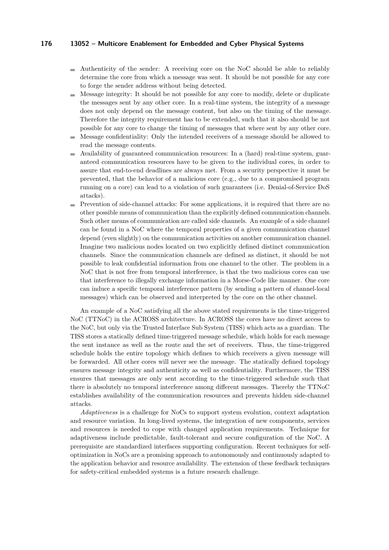- $\blacksquare$  Authenticity of the sender: A receiving core on the NoC should be able to reliably determine the core from which a message was sent. It should be not possible for any core to forge the sender address without being detected.
- Message integrity: It should be not possible for any core to modify, delete or duplicate the messages sent by any other core. In a real-time system, the integrity of a message does not only depend on the message content, but also on the timing of the message. Therefore the integrity requirement has to be extended, such that it also should be not possible for any core to change the timing of messages that where sent by any other core.
- Message confidentiality: Only the intended receivers of a message should be allowed to read the message contents.
- Availability of guaranteed communication resources: In a (hard) real-time system, guarm. anteed communication resources have to be given to the individual cores, in order to assure that end-to-end deadlines are always met. From a security perspective it must be prevented, that the behavior of a malicious core (e.g., due to a compromised program running on a core) can lead to a violation of such guarantees (i.e. Denial-of-Service DoS attacks).
- Prevention of side-channel attacks: For some applications, it is required that there are no  $\mathcal{L}_{\mathcal{A}}$ other possible means of communication than the explicitly defined communication channels. Such other means of communication are called side channels. An example of a side channel can be found in a NoC where the temporal properties of a given communication channel depend (even slightly) on the communication activities on another communication channel. Imagine two malicious nodes located on two explicitly defined distinct communication channels. Since the communication channels are defined as distinct, it should be not possible to leak confidential information from one channel to the other. The problem in a NoC that is not free from temporal interference, is that the two malicious cores can use that interference to illegally exchange information in a Morse-Code like manner. One core can induce a specific temporal interference pattern (by sending a pattern of channel-local messages) which can be observed and interpreted by the core on the other channel.

An example of a NoC satisfying all the above stated requirements is the time-triggered NoC (TTNoC) in the ACROSS architecture. In ACROSS the cores have no direct access to the NoC, but only via the Trusted Interface Sub System (TISS) which acts as a guardian. The TISS stores a statically defined time-triggered message schedule, which holds for each message the sent instance as well as the route and the set of receivers. Thus, the time-triggered schedule holds the entire topology which defines to which receivers a given message will be forwarded. All other cores will never see the message. The statically defined topology ensures message integrity and authenticity as well as confidentiality. Furthermore, the TISS ensures that messages are only sent according to the time-triggered schedule such that there is absolutely no temporal interference among different messages. Thereby the TTNoC establishes availability of the communication resources and prevents hidden side-channel attacks.

*Adaptiveness* is a challenge for NoCs to support system evolution, context adaptation and resource variation. In long-lived systems, the integration of new components, services and resources is needed to cope with changed application requirements. Technique for adaptiveness include predictable, fault-tolerant and secure configuration of the NoC. A prerequisite are standardized interfaces supporting configuration. Recent techniques for selfoptimization in NoCs are a promising approach to autonomously and continuously adapted to the application behavior and resource availability. The extension of these feedback techniques for safety-critical embedded systems is a future research challenge.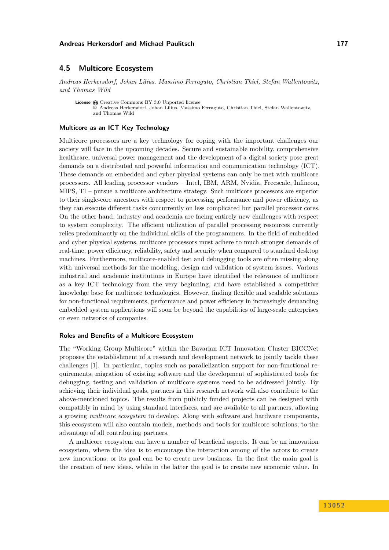### <span id="page-28-0"></span>**4.5 Multicore Ecosystem**

*Andreas Herkersdorf, Johan Lilius, Massimo Ferraguto, Christian Thiel, Stefan Wallentowitz, and Thomas Wild*

License  $\textcircled{c}$  [Creative Commons BY 3.0 Unported](http://creativecommons.org/licenses/by/3.0/) license © [Andreas Herkersdorf, Johan Lilius, Massimo Ferraguto, Christian Thiel, Stefan Wallentowitz,](#page-28-0) [and Thomas Wild](#page-28-0)

#### **Multicore as an ICT Key Technology**

Multicore processors are a key technology for coping with the important challenges our society will face in the upcoming decades. Secure and sustainable mobility, comprehensive healthcare, universal power management and the development of a digital society pose great demands on a distributed and powerful information and communication technology (ICT). These demands on embedded and cyber physical systems can only be met with multicore processors. All leading processor vendors – Intel, IBM, ARM, Nvidia, Freescale, Infineon, MIPS, TI – pursue a multicore architecture strategy. Such multicore processors are superior to their single-core ancestors with respect to processing performance and power efficiency, as they can execute different tasks concurrently on less complicated but parallel processor cores. On the other hand, industry and academia are facing entirely new challenges with respect to system complexity. The efficient utilization of parallel processing resources currently relies predominantly on the individual skills of the programmers. In the field of embedded and cyber physical systems, multicore processors must adhere to much stronger demands of real-time, power efficiency, reliability, safety and security when compared to standard desktop machines. Furthermore, multicore-enabled test and debugging tools are often missing along with universal methods for the modeling, design and validation of system issues. Various industrial and academic institutions in Europe have identified the relevance of multicore as a key ICT technology from the very beginning, and have established a competitive knowledge base for multicore technologies. However, finding flexible and scalable solutions for non-functional requirements, performance and power efficiency in increasingly demanding embedded system applications will soon be beyond the capabilities of large-scale enterprises or even networks of companies.

#### **Roles and Benefits of a Multicore Ecosystem**

The "Working Group Multicore" within the Bavarian ICT Innovation Cluster BICCNet proposes the establishment of a research and development network to jointly tackle these challenges [\[1\]](#page-30-1). In particular, topics such as parallelization support for non-functional requirements, migration of existing software and the development of sophisticated tools for debugging, testing and validation of multicore systems need to be addressed jointly. By achieving their individual goals, partners in this research network will also contribute to the above-mentioned topics. The results from publicly funded projects can be designed with compatibly in mind by using standard interfaces, and are available to all partners, allowing a growing *multicore ecosystem* to develop. Along with software and hardware components, this ecosystem will also contain models, methods and tools for multicore solutions; to the advantage of all contributing partners.

A multicore ecosystem can have a number of beneficial aspects. It can be an innovation ecosystem, where the idea is to encourage the interaction among of the actors to create new innovations, or its goal can be to create new business. In the first the main goal is the creation of new ideas, while in the latter the goal is to create new economic value. In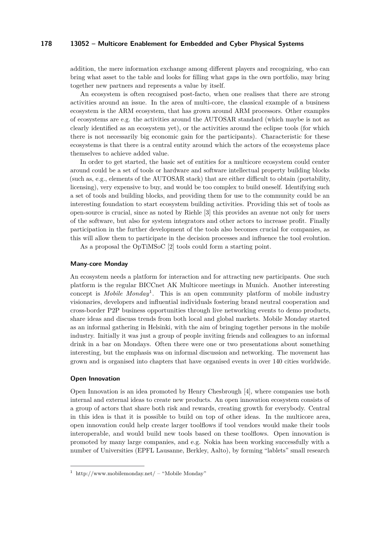addition, the mere information exchange among different players and recognizing, who can bring what asset to the table and looks for filling what gaps in the own portfolio, may bring together new partners and represents a value by itself.

An ecosystem is often recognised post-facto, when one realises that there are strong activities around an issue. In the area of multi-core, the classical example of a business ecosystem is the ARM ecosystem, that has grown around ARM processors. Other examples of ecosystems are e.g. the activities around the AUTOSAR standard (which maybe is not as clearly identified as an ecosystem yet), or the activities around the eclipse tools (for which there is not necessarily big economic gain for the participants). Characteristic for these ecosystems is that there is a central entity around which the actors of the ecosystems place themselves to achieve added value.

In order to get started, the basic set of entities for a multicore ecosystem could center around could be a set of tools or hardware and software intellectual property building blocks (such as, e.g., elements of the AUTOSAR stack) that are either difficult to obtain (portability, licensing), very expensive to buy, and would be too complex to build oneself. Identifying such a set of tools and building blocks, and providing them for use to the community could be an interesting foundation to start ecosystem building activities. Providing this set of tools as open-source is crucial, since as noted by Riehle [\[3\]](#page-30-2) this provides an avenue not only for users of the software, but also for system integrators and other actors to increase profit. Finally participation in the further development of the tools also becomes crucial for companies, as this will allow them to participate in the decision processes and influence the tool evolution.

As a proposal the OpTiMSoC [\[2\]](#page-30-3) tools could form a starting point.

#### **Many-core Monday**

An ecosystem needs a platform for interaction and for attracting new participants. One such platform is the regular BICCnet AK Multicore meetings in Munich. Another interesting concept is *Mobile Monday*[1](#page-29-0) . This is an open community platform of mobile industry visionaries, developers and influential individuals fostering brand neutral cooperation and cross-border P2P business opportunities through live networking events to demo products, share ideas and discuss trends from both local and global markets. Mobile Monday started as an informal gathering in Helsinki, with the aim of bringing together persons in the mobile industry. Initially it was just a group of people inviting friends and colleagues to an informal drink in a bar on Mondays. Often there were one or two presentations about something interesting, but the emphasis was on informal discussion and networking. The movement has grown and is organised into chapters that have organised events in over 140 cities worldwide.

#### **Open Innovation**

Open Innovation is an idea promoted by Henry Chesbrough [\[4\]](#page-30-4), where companies use both internal and external ideas to create new products. An open innovation ecosystem consists of a group of actors that share both risk and rewards, creating growth for everybody. Central in this idea is that it is possible to build on top of other ideas. In the multicore area, open innovation could help create larger toolflows if tool vendors would make their tools interoperable, and would build new tools based on these toolflows. Open innovation is promoted by many large companies, and e.g. Nokia has been working successfully with a number of Universities (EPFL Lausanne, Berkley, Aalto), by forming "lablets" small research

<span id="page-29-0"></span><sup>&</sup>lt;sup>1</sup> [http://www.mobilemonday.net/](http://www.mobilemonday.net/ ) – "Mobile Monday"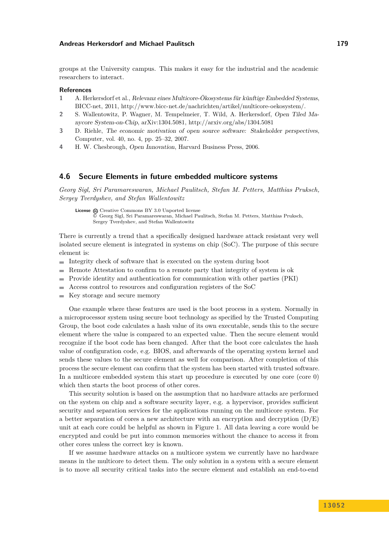groups at the University campus. This makes it easy for the industrial and the academic researchers to interact.

#### **References**

- <span id="page-30-1"></span>**1** A. Herkersdorf et al., Relevanz eines Multicore-Ökosystems für künftige Embedded Systems, BICC-net, 2011, [http://www.bicc-net.de/nachrichten/artikel/multicore-oekosystem/.](http://www.bicc-net.de/nachrichten/artikel/multicore-oekosystem/)
- <span id="page-30-3"></span>**2** S. Wallentowitz, P. Wagner, M. Tempelmeier, T. Wild, A. Herkersdorf, Open Tiled Manycore System-on-Chip, arXiv:1304.5081,<http://arxiv.org/abs/1304.5081>
- <span id="page-30-2"></span>**3** D. Riehle, The economic motivation of open source software: Stakeholder perspectives, Computer, vol. 40, no. 4, pp. 25–32, 2007.
- <span id="page-30-4"></span>**4** H. W. Chesbrough, Open Innovation, Harvard Business Press, 2006.

### <span id="page-30-0"></span>**4.6 Secure Elements in future embedded multicore systems**

*Georg Sigl, Sri Paramareswaran, Michael Paulitsch, Stefan M. Petters, Matthias Pruksch, Sergey Tverdyshev, and Stefan Wallentowitz*

License  $\textcircled{c}$  [Creative Commons BY 3.0 Unported](http://creativecommons.org/licenses/by/3.0/) license © [Georg Sigl, Sri Paramareswaran, Michael Paulitsch, Stefan M. Petters, Matthias Pruksch,](#page-30-0) [Sergey Tverdyshev, and Stefan Wallentowitz](#page-30-0)

There is currently a trend that a specifically designed hardware attack resistant very well isolated secure element is integrated in systems on chip (SoC). The purpose of this secure element is:

- $\blacksquare$  Integrity check of software that is executed on the system during boot
- Remote Attestation to confirm to a remote party that integrity of system is ok
- Provide identity and authentication for communication with other parties (PKI)
- Access control to resources and configuration registers of the SoC  $\sim$
- $\blacksquare$  Key storage and secure memory

One example where these features are used is the boot process in a system. Normally in a microprocessor system using secure boot technology as specified by the Trusted Computing Group, the boot code calculates a hash value of its own executable, sends this to the secure element where the value is compared to an expected value. Then the secure element would recognize if the boot code has been changed. After that the boot core calculates the hash value of configuration code, e.g. BIOS, and afterwards of the operating system kernel and sends these values to the secure element as well for comparison. After completion of this process the secure element can confirm that the system has been started with trusted software. In a multicore embedded system this start up procedure is executed by one core (core 0) which then starts the boot process of other cores.

This security solution is based on the assumption that no hardware attacks are performed on the system on chip and a software security layer, e.g. a hypervisor, provides sufficient security and separation services for the applications running on the multicore system. For a better separation of cores a new architecture with an encryption and decryption  $(D/E)$ unit at each core could be helpful as shown in Figure [1.](#page-31-0) All data leaving a core would be encrypted and could be put into common memories without the chance to access it from other cores unless the correct key is known.

If we assume hardware attacks on a multicore system we currently have no hardware means in the multicore to detect them. The only solution in a system with a secure element is to move all security critical tasks into the secure element and establish an end-to-end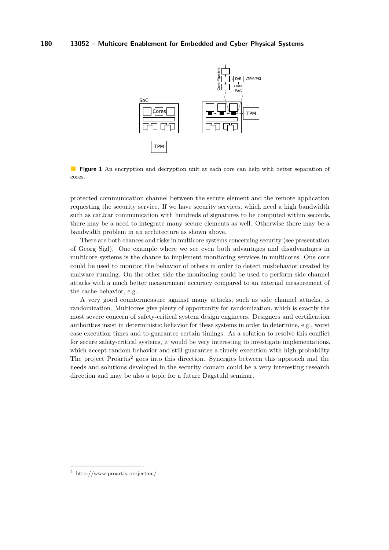<span id="page-31-0"></span>

**Figure 1** An encryption and decryption unit at each core can help with better separation of cores.

protected communication channel between the secure element and the remote application requesting the security service. If we have security services, which need a high bandwidth such as car2car communication with hundreds of signatures to be computed within seconds, there may be a need to integrate many secure elements as well. Otherwise there may be a bandwidth problem in an architecture as shown above.

There are both chances and risks in multicore systems concerning security (see presentation of Georg Sigl). One example where we see even both advantages and disadvantages in multicore systems is the chance to implement monitoring services in multicores. One core could be used to monitor the behavior of others in order to detect misbehavior created by malware running. On the other side the monitoring could be used to perform side channel attacks with a much better measurement accuracy compared to an external measurement of the cache behavior, e.g..

A very good countermeasure against many attacks, such as side channel attacks, is randomization. Multicores give plenty of opportunity for randomization, which is exactly the most severe concern of safety-critical system design engineers. Designers and certification authorities insist in deterministic behavior for these systems in order to determine, e.g., worst case execution times and to guarantee certain timings. As a solution to resolve this conflict for secure safety-critical systems, it would be very interesting to investigate implementations, which accept random behavior and still guarantee a timely execution with high probability. The project Proartis<sup>[2](#page-31-1)</sup> goes into this direction. Synergies between this approach and the needs and solutions developed in the security domain could be a very interesting research direction and may be also a topic for a future Dagstuhl seminar.

<span id="page-31-1"></span><sup>2</sup> <http://www.proartis-project.eu/>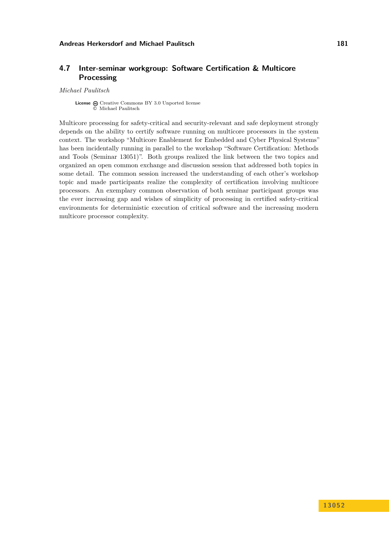### <span id="page-32-0"></span>**4.7 Inter-seminar workgroup: Software Certification & Multicore Processing**

#### *Michael Paulitsch*

**License**  $\textcircled{c}$  [Creative Commons BY 3.0 Unported](http://creativecommons.org/licenses/by/3.0/) license © [Michael Paulitsch](#page-32-0)

Multicore processing for safety-critical and security-relevant and safe deployment strongly depends on the ability to certify software running on multicore processors in the system context. The workshop "Multicore Enablement for Embedded and Cyber Physical Systems" has been incidentally running in parallel to the workshop "Software Certification: Methods and Tools (Seminar 13051)". Both groups realized the link between the two topics and organized an open common exchange and discussion session that addressed both topics in some detail. The common session increased the understanding of each other's workshop topic and made participants realize the complexity of certification involving multicore processors. An exemplary common observation of both seminar participant groups was the ever increasing gap and wishes of simplicity of processing in certified safety-critical environments for deterministic execution of critical software and the increasing modern multicore processor complexity.